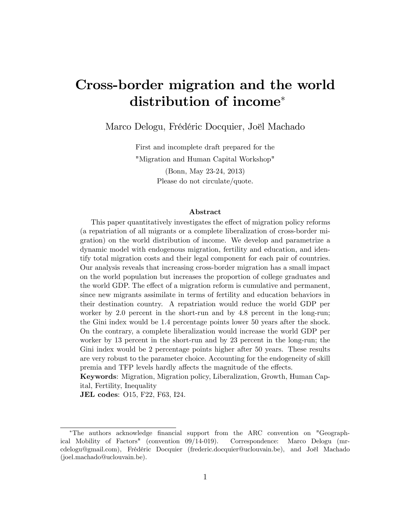# Cross-border migration and the world distribution of income

Marco Delogu, Frédéric Docquier, Joël Machado

First and incomplete draft prepared for the "Migration and Human Capital Workshop" (Bonn, May 23-24, 2013) Please do not circulate/quote.

#### Abstract

This paper quantitatively investigates the effect of migration policy reforms (a repatriation of all migrants or a complete liberalization of cross-border migration) on the world distribution of income. We develop and parametrize a dynamic model with endogenous migration, fertility and education, and identify total migration costs and their legal component for each pair of countries. Our analysis reveals that increasing cross-border migration has a small impact on the world population but increases the proportion of college graduates and the world GDP. The effect of a migration reform is cumulative and permanent, since new migrants assimilate in terms of fertility and education behaviors in their destination country. A repatriation would reduce the world GDP per worker by 2.0 percent in the short-run and by 4.8 percent in the long-run; the Gini index would be 1.4 percentage points lower 50 years after the shock. On the contrary, a complete liberalization would increase the world GDP per worker by 13 percent in the short-run and by 23 percent in the long-run; the Gini index would be 2 percentage points higher after 50 years. These results are very robust to the parameter choice. Accounting for the endogeneity of skill premia and TFP levels hardly affects the magnitude of the effects.

Keywords: Migration, Migration policy, Liberalization, Growth, Human Capital, Fertility, Inequality

JEL codes: O15, F22, F63, I24.

The authors acknowledge Önancial support from the ARC convention on "Geographical Mobility of Factors" (convention 09/14-019). Correspondence: Marco Delogu (mrcdelogu@gmail.com), Frédéric Docquier (frederic.docquier@uclouvain.be), and Joël Machado (joel.machado@uclouvain.be).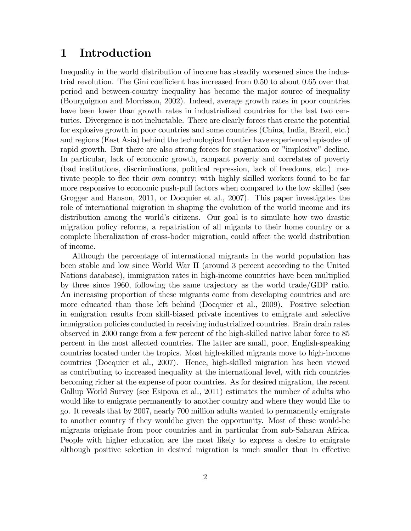# 1 Introduction

Inequality in the world distribution of income has steadily worsened since the industrial revolution. The Gini coefficient has increased from  $0.50$  to about  $0.65$  over that period and between-country inequality has become the major source of inequality (Bourguignon and Morrisson, 2002). Indeed, average growth rates in poor countries have been lower than growth rates in industrialized countries for the last two centuries. Divergence is not ineluctable. There are clearly forces that create the potential for explosive growth in poor countries and some countries (China, India, Brazil, etc.) and regions (East Asia) behind the technological frontier have experienced episodes of rapid growth. But there are also strong forces for stagnation or "implosive" decline. In particular, lack of economic growth, rampant poverty and correlates of poverty (bad institutions, discriminations, political repression, lack of freedoms, etc.) motivate people to flee their own country; with highly skilled workers found to be far more responsive to economic push-pull factors when compared to the low skilled (see Grogger and Hanson, 2011, or Docquier et al., 2007). This paper investigates the role of international migration in shaping the evolution of the world income and its distribution among the world's citizens. Our goal is to simulate how two drastic migration policy reforms, a repatriation of all migants to their home country or a complete liberalization of cross-boder migration, could affect the world distribution of income.

Although the percentage of international migrants in the world population has been stable and low since World War II (around 3 percent according to the United Nations database), immigration rates in high-income countries have been multiplied by three since 1960, following the same trajectory as the world trade/GDP ratio. An increasing proportion of these migrants come from developing countries and are more educated than those left behind (Docquier et al., 2009). Positive selection in emigration results from skill-biased private incentives to emigrate and selective immigration policies conducted in receiving industrialized countries. Brain drain rates observed in 2000 range from a few percent of the high-skilled native labor force to 85 percent in the most affected countries. The latter are small, poor, English-speaking countries located under the tropics. Most high-skilled migrants move to high-income countries (Docquier et al., 2007). Hence, high-skilled migration has been viewed as contributing to increased inequality at the international level, with rich countries becoming richer at the expense of poor countries. As for desired migration, the recent Gallup World Survey (see Esipova et al., 2011) estimates the number of adults who would like to emigrate permanently to another country and where they would like to go. It reveals that by 2007, nearly 700 million adults wanted to permanently emigrate to another country if they wouldbe given the opportunity. Most of these would-be migrants originate from poor countries and in particular from sub-Saharan Africa. People with higher education are the most likely to express a desire to emigrate although positive selection in desired migration is much smaller than in effective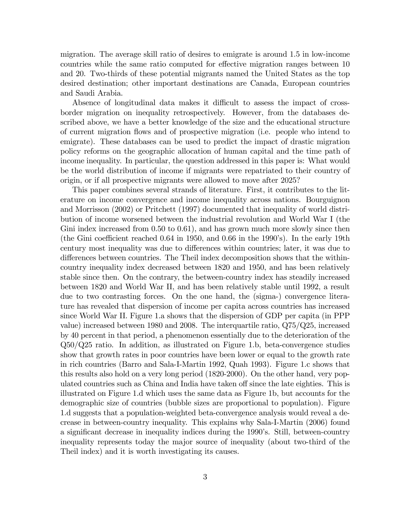migration. The average skill ratio of desires to emigrate is around 1.5 in low-income countries while the same ratio computed for effective migration ranges between 10 and 20. Two-thirds of these potential migrants named the United States as the top desired destination; other important destinations are Canada, European countries and Saudi Arabia.

Absence of longitudinal data makes it difficult to assess the impact of crossborder migration on inequality retrospectively. However, from the databases described above, we have a better knowledge of the size and the educational structure of current migration áows and of prospective migration (i.e. people who intend to emigrate). These databases can be used to predict the impact of drastic migration policy reforms on the geographic allocation of human capital and the time path of income inequality. In particular, the question addressed in this paper is: What would be the world distribution of income if migrants were repatriated to their country of origin, or if all prospective migrants were allowed to move after 2025?

This paper combines several strands of literature. First, it contributes to the literature on income convergence and income inequality across nations. Bourguignon and Morrisson (2002) or Pritchett (1997) documented that inequality of world distribution of income worsened between the industrial revolution and World War I (the Gini index increased from 0.50 to 0.61), and has grown much more slowly since then (the Gini coefficient reached 0.64 in 1950, and 0.66 in the 1990's). In the early 19th century most inequality was due to differences within countries; later, it was due to differences between countries. The Theil index decomposition shows that the withincountry inequality index decreased between 1820 and 1950, and has been relatively stable since then. On the contrary, the between-country index has steadily increased between 1820 and World War II, and has been relatively stable until 1992, a result due to two contrasting forces. On the one hand, the (sigma-) convergence literature has revealed that dispersion of income per capita across countries has increased since World War II. Figure 1.a shows that the dispersion of GDP per capita (in PPP value) increased between 1980 and 2008. The interquartile ratio, Q75/Q25, increased by 40 percent in that period, a phenomenon essentially due to the deterioration of the Q50/Q25 ratio. In addition, as illustrated on Figure 1.b, beta-convergence studies show that growth rates in poor countries have been lower or equal to the growth rate in rich countries (Barro and Sala-I-Martin 1992, Quah 1993). Figure 1.c shows that this results also hold on a very long period (1820-2000). On the other hand, very populated countries such as China and India have taken off since the late eighties. This is illustrated on Figure 1.d which uses the same data as Figure 1b, but accounts for the demographic size of countries (bubble sizes are proportional to population). Figure 1.d suggests that a population-weighted beta-convergence analysis would reveal a decrease in between-country inequality. This explains why Sala-I-Martin (2006) found a significant decrease in inequality indices during the 1990's. Still, between-country inequality represents today the major source of inequality (about two-third of the Theil index) and it is worth investigating its causes.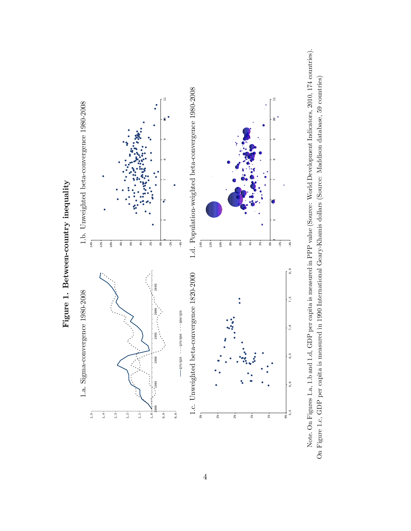

Note. On Figures 1.a, 1.b and 1.d, GDP per capita is measured in PPP value (Source: World Development Indicators, 2010, 174 countries). Note. On Figures 1.a, 1.b and 1.d, GDP per capita is measured in PPP value (Source: World Development Indicators, 2010, 174 countries). On Figure 1.c, GDP per capita is measured in 1990 International Geary-Khamis dollars (Source: Maddison database, 59 countries) On Figure 1.c, GDP per capita is measured in 1990 International Geary-Khamis dollars (Source: Maddison database, 59 countries)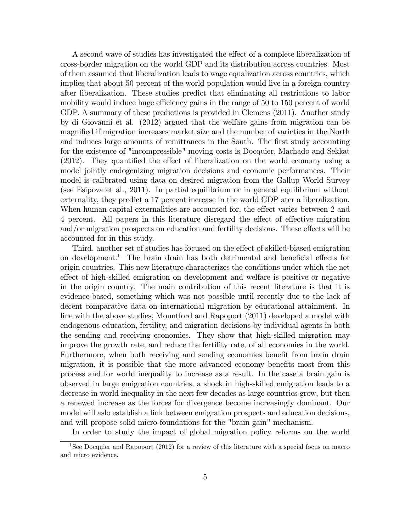A second wave of studies has investigated the effect of a complete liberalization of cross-border migration on the world GDP and its distribution across countries. Most of them assumed that liberalization leads to wage equalization across countries, which implies that about 50 percent of the world population would live in a foreign country after liberalization. These studies predict that eliminating all restrictions to labor mobility would induce huge efficiency gains in the range of 50 to 150 percent of world GDP. A summary of these predictions is provided in Clemens (2011). Another study by di Giovanni et al. (2012) argued that the welfare gains from migration can be magnified if migration increases market size and the number of varieties in the North and induces large amounts of remittances in the South. The first study accounting for the existence of "incompressible" moving costs is Docquier, Machado and Sekkat  $(2012)$ . They quantified the effect of liberalization on the world economy using a model jointly endogenizing migration decisions and economic performances. Their model is calibrated using data on desired migration from the Gallup World Survey (see Esipova et al., 2011). In partial equilibrium or in general equilibrium without externality, they predict a 17 percent increase in the world GDP ater a liberalization. When human capital externalities are accounted for, the effect varies between 2 and 4 percent. All papers in this literature disregard the effect of effective migration and/or migration prospects on education and fertility decisions. These effects will be accounted for in this study.

Third, another set of studies has focused on the effect of skilled-biased emigration on development.<sup>1</sup> The brain drain has both detrimental and beneficial effects for origin countries. This new literature characterizes the conditions under which the net effect of high-skilled emigration on development and welfare is positive or negative in the origin country. The main contribution of this recent literature is that it is evidence-based, something which was not possible until recently due to the lack of decent comparative data on international migration by educational attainment. In line with the above studies, Mountford and Rapoport (2011) developed a model with endogenous education, fertility, and migration decisions by individual agents in both the sending and receiving economies. They show that high-skilled migration may improve the growth rate, and reduce the fertility rate, of all economies in the world. Furthermore, when both receiving and sending economies benefit from brain drain migration, it is possible that the more advanced economy benefits most from this process and for world inequality to increase as a result. In the case a brain gain is observed in large emigration countries, a shock in high-skilled emigration leads to a decrease in world inequality in the next few decades as large countries grow, but then a renewed increase as the forces for divergence become increasingly dominant. Our model will aslo establish a link between emigration prospects and education decisions, and will propose solid micro-foundations for the "brain gain" mechanism.

In order to study the impact of global migration policy reforms on the world

<sup>&</sup>lt;sup>1</sup>See Docquier and Rapoport (2012) for a review of this literature with a special focus on macro and micro evidence.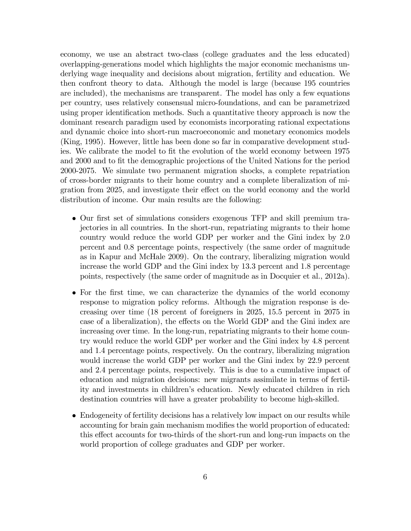economy, we use an abstract two-class (college graduates and the less educated) overlapping-generations model which highlights the major economic mechanisms underlying wage inequality and decisions about migration, fertility and education. We then confront theory to data. Although the model is large (because 195 countries are included), the mechanisms are transparent. The model has only a few equations per country, uses relatively consensual micro-foundations, and can be parametrized using proper identification methods. Such a quantitative theory approach is now the dominant research paradigm used by economists incorporating rational expectations and dynamic choice into short-run macroeconomic and monetary economics models (King, 1995). However, little has been done so far in comparative development studies. We calibrate the model to Öt the evolution of the world economy between 1975 and 2000 and to fit the demographic projections of the United Nations for the period 2000-2075. We simulate two permanent migration shocks, a complete repatriation of cross-border migrants to their home country and a complete liberalization of migration from 2025, and investigate their effect on the world economy and the world distribution of income. Our main results are the following:

- Our Örst set of simulations considers exogenous TFP and skill premium trajectories in all countries. In the short-run, repatriating migrants to their home country would reduce the world GDP per worker and the Gini index by 2.0 percent and 0.8 percentage points, respectively (the same order of magnitude as in Kapur and McHale 2009). On the contrary, liberalizing migration would increase the world GDP and the Gini index by 13.3 percent and 1.8 percentage points, respectively (the same order of magnitude as in Docquier et al., 2012a).
- For the first time, we can characterize the dynamics of the world economy response to migration policy reforms. Although the migration response is decreasing over time (18 percent of foreigners in 2025, 15.5 percent in 2075 in case of a liberalization), the effects on the World GDP and the Gini index are increasing over time. In the long-run, repatriating migrants to their home country would reduce the world GDP per worker and the Gini index by 4.8 percent and 1.4 percentage points, respectively. On the contrary, liberalizing migration would increase the world GDP per worker and the Gini index by 22.9 percent and 2.4 percentage points, respectively. This is due to a cumulative impact of education and migration decisions: new migrants assimilate in terms of fertility and investments in children's education. Newly educated children in rich destination countries will have a greater probability to become high-skilled.
- Endogeneity of fertility decisions has a relatively low impact on our results while accounting for brain gain mechanism modifies the world proportion of educated: this effect accounts for two-thirds of the short-run and long-run impacts on the world proportion of college graduates and GDP per worker.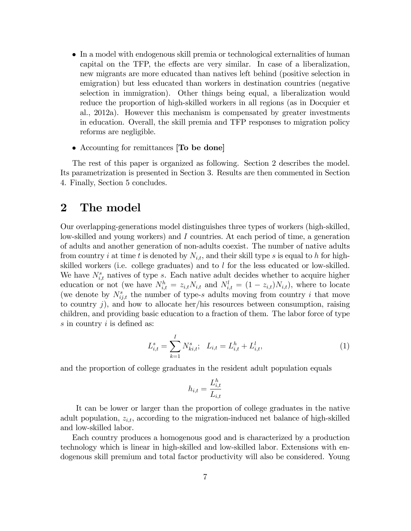- In a model with endogenous skill premia or technological externalities of human capital on the TFP, the effects are very similar. In case of a liberalization, new migrants are more educated than natives left behind (positive selection in emigration) but less educated than workers in destination countries (negative selection in immigration). Other things being equal, a liberalization would reduce the proportion of high-skilled workers in all regions (as in Docquier et al., 2012a). However this mechanism is compensated by greater investments in education. Overall, the skill premia and TFP responses to migration policy reforms are negligible.
- Accounting for remittances **To be done**

The rest of this paper is organized as following. Section 2 describes the model. Its parametrization is presented in Section 3. Results are then commented in Section 4. Finally, Section 5 concludes.

### 2 The model

Our overlapping-generations model distinguishes three types of workers (high-skilled, low-skilled and young workers) and I countries. At each period of time, a generation of adults and another generation of non-adults coexist. The number of native adults from country i at time t is denoted by  $N_{i,t}$ , and their skill type s is equal to h for highskilled workers (i.e. college graduates) and to l for the less educated or low-skilled. We have  $N_{i,t}^s$  natives of type s. Each native adult decides whether to acquire higher education or not (we have  $N_{i,t}^h = z_{i,t} N_{i,t}$  and  $N_{i,t}^l = (1 - z_{i,t}) N_{i,t}$ ), where to locate (we denote by  $N_{ij,t}^s$  the number of type-s adults moving from country i that move to country  $j$ , and how to allocate her/his resources between consumption, raising children, and providing basic education to a fraction of them. The labor force of type  $s$  in country  $i$  is defined as:

$$
L_{i,t}^s = \sum_{k=1}^I N_{ki,t}^s; \quad L_{i,t} = L_{i,t}^h + L_{i,t}^l,
$$
\n(1)

and the proportion of college graduates in the resident adult population equals

$$
h_{i,t} = \frac{L_{i,t}^h}{L_{i,t}}
$$

It can be lower or larger than the proportion of college graduates in the native adult population,  $z_{i,t}$ , according to the migration-induced net balance of high-skilled and low-skilled labor.

Each country produces a homogenous good and is characterized by a production technology which is linear in high-skilled and low-skilled labor. Extensions with endogenous skill premium and total factor productivity will also be considered. Young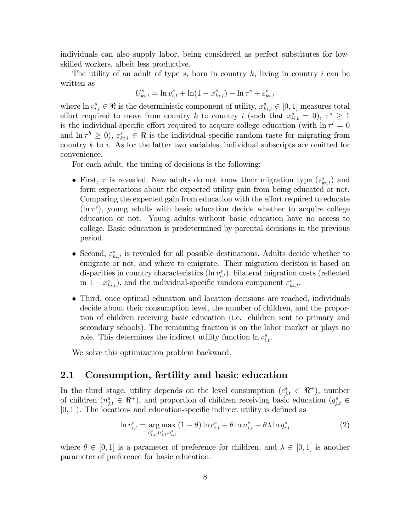individuals can also supply labor, being considered as perfect substitutes for lowskilled workers, albeit less productive.

The utility of an adult of type s, born in country  $k$ , living in country  $i$  can be written as

$$
U^s_{ki,t}=\ln v^s_{i,t}+\ln(1-x^s_{ki,t})-\ln\tau^s+\varepsilon^s_{ki,t}
$$

where  $\ln v_{i,t}^s \in \mathbb{R}$  is the deterministic component of utility,  $x_{ki,t}^s \in [0,1]$  measures total effort required to move from country k to country i (such that  $x_{ii,t}^s = 0$ ),  $\tau^s \ge 1$ is the individual-specific effort required to acquire college education (with  $\ln \tau^l = 0$ and  $\ln \tau^h \geq 0$ ,  $\varepsilon^s_{ki,t} \in \Re$  is the individual-specific random taste for migrating from country  $k$  to  $i$ . As for the latter two variables, individual subscripts are omitted for convenience.

For each adult, the timing of decisions is the following:

- First,  $\tau$  is revealed. New adults do not know their migration type  $(\varepsilon_{ki,t}^s)$  and form expectations about the expected utility gain from being educated or not. Comparing the expected gain from education with the effort required to educate  $(\ln \tau^s)$ , young adults with basic education decide whether to acquire college education or not. Young adults without basic education have no access to college. Basic education is predetermined by parental decisions in the previous period.
- Second,  $\varepsilon_{ki,t}^s$  is revealed for all possible destinations. Adults decide whether to emigrate or not, and where to emigrate. Their migration decision is based on disparities in country characteristics  $(\ln v_{i,t}^s)$ , bilateral migration costs (reflected in  $1 - x_{ki,t}^s$ ), and the individual-specific random component  $\varepsilon_{ki,t}^s$ .
- Third, once optimal education and location decisions are reached, individuals decide about their consumption level, the number of children, and the proportion of children receiving basic education (i.e. children sent to primary and secondary schools). The remaining fraction is on the labor market or plays no role. This determines the indirect utility function  $\ln v_{i,t}^s$ .

We solve this optimization problem backward.

### 2.1 Consumption, fertility and basic education

In the third stage, utility depends on the level consumption  $(c_{j,t}^s \in \mathbb{R}^+)$ , number of children  $(n_{j,t}^s \in \mathbb{R}^+)$ , and proportion of children receiving basic education  $(q_{j,t}^s \in \mathbb{R}^+)$  $[0, 1]$ . The location- and education-specific indirect utility is defined as

$$
\ln v_{i,t}^s = \underset{c_{i,t}^s, n_{i,t}^s, q_{i,t}^s}{\arg \max} (1 - \theta) \ln c_{i,t}^s + \theta \ln n_{i,t}^s + \theta \lambda \ln q_{i,t}^s
$$
 (2)

where  $\theta \in [0, 1]$  is a parameter of preference for children, and  $\lambda \in [0, 1]$  is another parameter of preference for basic education.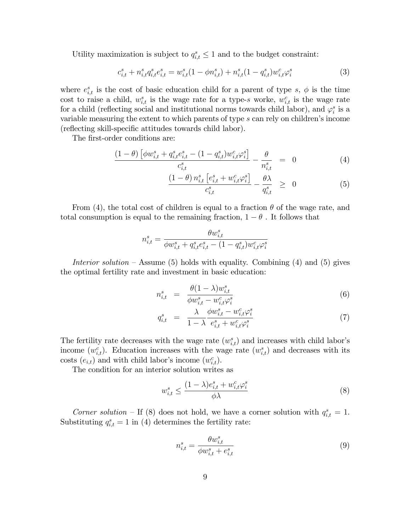Utility maximization is subject to  $q_{i,t}^s \leq 1$  and to the budget constraint:

$$
c_{i,t}^s + n_{i,t}^s q_{i,t}^s e_{i,t}^s = w_{i,t}^s (1 - \phi n_{i,t}^s) + n_{i,t}^s (1 - q_{i,t}^s) w_{i,t}^c \varphi_i^s
$$
 (3)

where  $e_{i,t}^s$  is the cost of basic education child for a parent of type s,  $\phi$  is the time cost to raise a child,  $w_{i,t}^s$  is the wage rate for a type-s worke,  $w_{i,t}^c$  is the wage rate for a child (reflecting social and institutional norms towards child labor), and  $\varphi_i^s$  is a variable measuring the extent to which parents of type  $s$  can rely on children's income (reflecting skill-specific attitudes towards child labor).

The first-order conditions are:

$$
\frac{(1-\theta)\left[\phi w_{i,t}^s + q_{i,t}^s e_{i,t}^s - (1-q_{i,t}^s) w_{i,t}^c \varphi_i^s\right]}{c_{i,t}^s} - \frac{\theta}{n_{i,t}^s} = 0 \tag{4}
$$

$$
\frac{\left(1-\theta\right)n_{i,t}^s \left[e_{i,t}^s + w_{i,t}^c \varphi_i^s\right]}{c_{i,t}^s} - \frac{\theta \lambda}{q_{i,t}^s} \ge 0 \tag{5}
$$

From (4), the total cost of children is equal to a fraction  $\theta$  of the wage rate, and total consumption is equal to the remaining fraction,  $1 - \theta$ . It follows that

$$
n_{i,t}^s = \frac{\theta w_{i,t}^s}{\phi w_{i,t}^s + q_{i,t}^s e_{i,t}^s - (1-q_{i,t}^s)w_{i,t}^c \varphi_i^s}
$$

Interior solution – Assume (5) holds with equality. Combining (4) and (5) gives the optimal fertility rate and investment in basic education:

$$
n_{i,t}^s = \frac{\theta(1-\lambda)w_{i,t}^s}{\phi w_{i,t}^s - w_{i,t}^c \varphi_i^s}
$$
\n
$$
(6)
$$

$$
q_{i,t}^s = \frac{\lambda}{1-\lambda} \frac{\phi w_{i,t}^s - w_{i,t}^c \varphi_i^s}{e_{i,t}^s + w_{i,t}^c \varphi_i^s}
$$
(7)

The fertility rate decreases with the wage rate  $(w_{i,t}^s)$  and increases with child labor's income  $(w_{i,t}^c)$ . Education increases with the wage rate  $(w_{i,t}^s)$  and decreases with its costs  $(e_{i,t})$  and with child labor's income  $(w_{i,t}^c)$ .

The condition for an interior solution writes as

$$
w_{i,t}^s \le \frac{(1-\lambda)e_{i,t}^s + w_{i,t}^c \varphi_i^s}{\phi \lambda} \tag{8}
$$

Corner solution – If (8) does not hold, we have a corner solution with  $q_{i,t}^s = 1$ . Substituting  $q_{i,t}^s = 1$  in (4) determines the fertility rate:

$$
n_{i,t}^s = \frac{\theta w_{i,t}^s}{\phi w_{i,t}^s + e_{i,t}^s}
$$
\n
$$
(9)
$$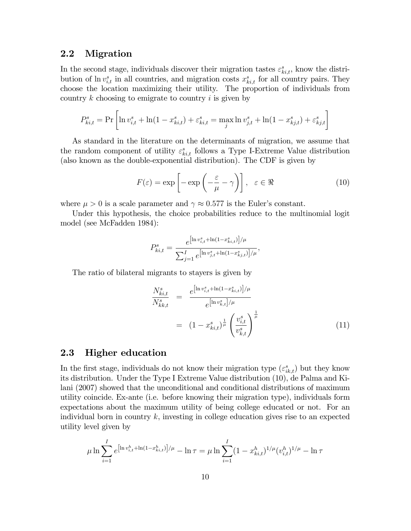### 2.2 Migration

In the second stage, individuals discover their migration tastes  $\varepsilon_{ki,t}^s$ , know the distribution of  $\ln v_{i,t}^s$  in all countries, and migration costs  $x_{ki,t}^s$  for all country pairs. They choose the location maximizing their utility. The proportion of individuals from country  $k$  choosing to emigrate to country  $i$  is given by

$$
P_{ki,t}^s = \Pr \left[ \ln v_{i,t}^s + \ln(1 - x_{ki,t}^s) + \varepsilon_{ki,t}^s = \max_j \ln v_{j,t}^s + \ln(1 - x_{kj,t}^s) + \varepsilon_{kj,t}^s \right]
$$

As standard in the literature on the determinants of migration, we assume that the random component of utility  $\varepsilon_{ki,t}^s$  follows a Type I-Extreme Value distribution (also known as the double-exponential distribution). The CDF is given by

$$
F(\varepsilon) = \exp\left[-\exp\left(-\frac{\varepsilon}{\mu} - \gamma\right)\right], \quad \varepsilon \in \Re
$$
 (10)

where  $\mu > 0$  is a scale parameter and  $\gamma \approx 0.577$  is the Euler's constant.

Under this hypothesis, the choice probabilities reduce to the multinomial logit model (see McFadden 1984):

$$
P_{ki,t}^s = \frac{e^{\left[\ln v_{i,t}^s + \ln(1 - x_{ki,t}^s)\right]/\mu}}{\sum_{j=1}^I e^{\left[\ln v_{j,t}^s + \ln(1 - x_{kj,t}^s)\right]/\mu}},
$$

The ratio of bilateral migrants to stayers is given by

$$
\frac{N_{ki,t}^s}{N_{kk,t}^s} = \frac{e^{\left[\ln v_{i,t}^s + \ln(1 - x_{ki,t}^s)\right]/\mu}}{e^{\left[\ln v_{k,t}^s\right]/\mu}}
$$
\n
$$
= (1 - x_{ki,t}^s)^{\frac{1}{\mu}} \left(\frac{v_{i,t}^s}{v_{k,t}^s}\right)^{\frac{1}{\mu}}
$$
\n(11)

### 2.3 Higher education

In the first stage, individuals do not know their migration type  $(\varepsilon_{ik,t}^s)$  but they know its distribution. Under the Type I Extreme Value distribution (10), de Palma and Kilani (2007) showed that the unconditional and conditional distributions of maximum utility coincide. Ex-ante (i.e. before knowing their migration type), individuals form expectations about the maximum utility of being college educated or not. For an individual born in country  $k$ , investing in college education gives rise to an expected utility level given by

$$
\mu \ln \sum_{i=1}^{I} e^{\left[\ln v_{i,t}^h + \ln(1 - x_{ki,t}^h)\right] / \mu} - \ln \tau = \mu \ln \sum_{i=1}^{I} (1 - x_{ki,t}^h)^{1/\mu} (v_{i,t}^h)^{1/\mu} - \ln \tau
$$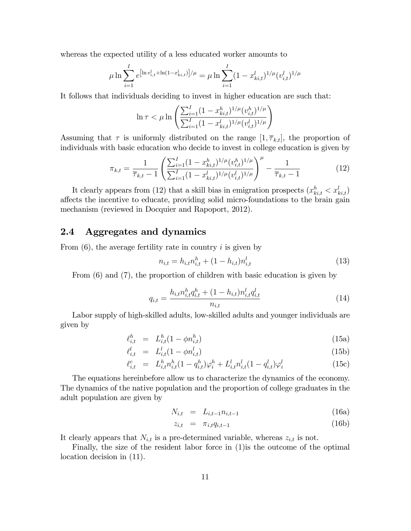whereas the expected utility of a less educated worker amounts to

$$
\mu \ln \sum_{i=1}^{I} e^{\left[\ln v_{i,t}^{l} + \ln(1 - x_{ki,t}^{l})\right] / \mu} = \mu \ln \sum_{i=1}^{I} (1 - x_{ki,t}^{l})^{1/\mu} (v_{i,t}^{l})^{1/\mu}
$$

It follows that individuals deciding to invest in higher education are such that:

$$
\ln\tau < \mu \ln\left(\frac{\sum_{i=1}^{I}(1-x_{ki,t}^h)^{1/\mu}(v_{i,t}^h)^{1/\mu}}{\sum_{i=1}^{I}(1-x_{ki,t}^l)^{1/\mu}(v_{i,t}^l)^{1/\mu}}\right)
$$

Assuming that  $\tau$  is uniformly distributed on the range  $[1, \overline{\tau}_{k,t}]$ , the proportion of individuals with basic education who decide to invest in college education is given by

$$
\pi_{k,t} = \frac{1}{\overline{\tau}_{k,t} - 1} \left( \frac{\sum_{i=1}^{I} (1 - x_{ki,t}^h)^{1/\mu} (v_{i,t}^h)^{1/\mu}}{\sum_{i=1}^{I} (1 - x_{ki,t}^l)^{1/\mu} (v_{i,t}^l)^{1/\mu}} \right)^{\mu} - \frac{1}{\overline{\tau}_{k,t} - 1}
$$
(12)

It clearly appears from (12) that a skill bias in emigration prospects  $(x_{ki,t}^h < x_{ki,t}^l)$ affects the incentive to educate, providing solid micro-foundations to the brain gain mechanism (reviewed in Docquier and Rapoport, 2012).

### 2.4 Aggregates and dynamics

From  $(6)$ , the average fertility rate in country i is given by

$$
n_{i,t} = h_{i,t} n_{i,t}^h + (1 - h_{i,t}) n_{i,t}^l
$$
\n(13)

From (6) and (7), the proportion of children with basic education is given by

$$
q_{i,t} = \frac{h_{i,t} n_{i,t}^h q_{i,t}^h + (1 - h_{i,t}) n_{i,t}^l q_{i,t}^l}{n_{i,t}}
$$
(14)

Labor supply of high-skilled adults, low-skilled adults and younger individuals are given by

$$
\ell_{i,t}^h = L_{i,t}^h (1 - \phi n_{i,t}^h)
$$
\n(15a)

$$
\ell_{i,t}^l = L_{i,t}^l (1 - \phi n_{i,t}^l) \tag{15b}
$$

$$
\ell_{i,t}^c = L_{i,t}^h n_{i,t}^h (1 - q_{i,t}^h) \varphi_i^h + L_{i,t}^l n_{i,t}^l (1 - q_{i,t}^l) \varphi_i^l
$$
\n(15c)

The equations hereinbefore allow us to characterize the dynamics of the economy. The dynamics of the native population and the proportion of college graduates in the adult population are given by

$$
N_{i,t} = L_{i,t-1} n_{i,t-1}
$$
 (16a)

$$
z_{i,t} = \pi_{i,t} q_{i,t-1} \tag{16b}
$$

It clearly appears that  $N_{i,t}$  is a pre-determined variable, whereas  $z_{i,t}$  is not.

Finally, the size of the resident labor force in (1)is the outcome of the optimal location decision in (11).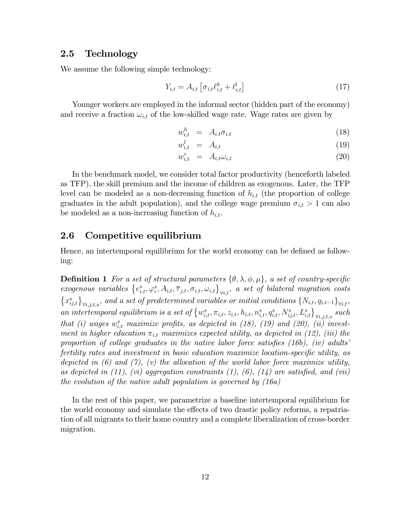### 2.5 Technology

We assume the following simple technology:

$$
Y_{i,t} = A_{i,t} \left[ \sigma_{i,t} \ell_{i,t}^h + \ell_{i,t}^l \right] \tag{17}
$$

Younger workers are employed in the informal sector (hidden part of the economy) and receive a fraction  $\omega_{i,t}$  of the low-skilled wage rate. Wage rates are given by

$$
w_{i,t}^h = A_{i,t} \sigma_{i,t} \tag{18}
$$

$$
w_{i,t}^l = A_{i,t} \tag{19}
$$

$$
w_{i,t}^c = A_{i,t} \omega_{i,t} \tag{20}
$$

In the benchmark model, we consider total factor productivity (henceforth labeled as TFP), the skill premium and the income of children as exogenous. Later, the TFP level can be modeled as a non-decreasing function of  $h_{i,t}$  (the proportion of college graduates in the adult population), and the college wage premium  $\sigma_{i,t} > 1$  can also be modeled as a non-increasing function of  $h_{i,t}$ .

### 2.6 Competitive equilibrium

Hence, an intertemporal equilibrium for the world economy can be defined as following:

**Definition 1** For a set of structural parameters  $\{\theta, \lambda, \phi, \mu\}$ , a set of country-specific exogenous variables  $\{e_{i,t}^s, \varphi_i^s, A_{i,t}, \overline{\tau}_{j,t}, \sigma_{i,t}, \omega_{i,t}\}_{\forall i,t}$ , a set of bilateral migration costs  $\{x_{ij,t}^s\}_{\forall i,j,t,s}$ , and a set of predetermined variables or initial conditions  $\{N_{i,t}, q_{i,t-1}\}_{\forall i,t}$ , an intertemporal equilibrium is a set of  $\{w_{i,t}^s, \pi_{i,t}, z_{i,t}, h_{i,t}, n_{i,t}^s, q_{i,t}^s, N_{ij,t}^s, L_{i,t}^s\}_{\forall i,j,t,s}$  such that (i) wages  $w_{i,t}^s$  maximize profits, as depicted in (18), (19) and (20), (ii) investment in higher education  $\pi_{i,t}$  maximizes expected utility, as depicted in (12), (iii) the proportion of college graduates in the native labor force satisfies  $(16b)$ ,  $(iv)$  adults<sup>†</sup> fertility rates and investment in basic education maximize location-specific utility, as depicted in (6) and (7), (v) the allocation of the world labor force maximize utility, as depicted in  $(11)$ ,  $(vi)$  aggregation constraints  $(1)$ ,  $(6)$ ,  $(14)$  are satisfied, and  $(vii)$ the evolution of the native adult population is governed by (16a)

In the rest of this paper, we parametrize a baseline intertemporal equilibrium for the world economy and simulate the effects of two drastic policy reforms, a repatriation of all migrants to their home country and a complete liberalization of cross-border migration.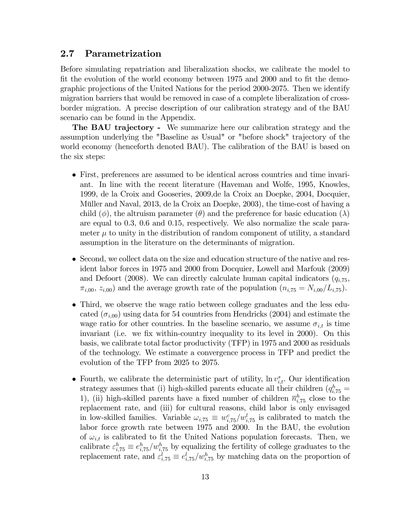### 2.7 Parametrization

Before simulating repatriation and liberalization shocks, we calibrate the model to fit the evolution of the world economy between 1975 and 2000 and to fit the demographic projections of the United Nations for the period 2000-2075. Then we identify migration barriers that would be removed in case of a complete liberalization of crossborder migration. A precise description of our calibration strategy and of the BAU scenario can be found in the Appendix.

The BAU trajectory - We summarize here our calibration strategy and the assumption underlying the "Baseline as Usual" or "before shock" trajectory of the world economy (henceforth denoted BAU). The calibration of the BAU is based on the six steps:

- First, preferences are assumed to be identical across countries and time invariant. In line with the recent literature (Haveman and Wolfe, 1995, Knowles, 1999, de la Croix and Gooseries, 2009,de la Croix an Doepke, 2004, Docquier, Müller and Naval, 2013, de la Croix an Doepke, 2003), the time-cost of having a child ( $\phi$ ), the altruism parameter ( $\theta$ ) and the preference for basic education ( $\lambda$ ) are equal to 0.3, 0.6 and 0.15, respectively. We also normalize the scale parameter  $\mu$  to unity in the distribution of random component of utility, a standard assumption in the literature on the determinants of migration.
- Second, we collect data on the size and education structure of the native and resident labor forces in 1975 and 2000 from Docquier, Lowell and Marfouk (2009) and Defoort (2008). We can directly calculate human capital indicators  $(q_{i.75},$  $\pi_{i,00}, z_{i,00}$  and the average growth rate of the population  $(n_{i,75} = N_{i,00}/L_{i,75})$ .
- Third, we observe the wage ratio between college graduates and the less educated  $(\sigma_{i,00})$  using data for 54 countries from Hendricks (2004) and estimate the wage ratio for other countries. In the baseline scenario, we assume  $\sigma_{i,t}$  is time invariant (i.e. we fix within-country inequality to its level in 2000). On this basis, we calibrate total factor productivity (TFP) in 1975 and 2000 as residuals of the technology. We estimate a convergence process in TFP and predict the evolution of the TFP from 2025 to 2075.
- Fourth, we calibrate the deterministic part of utility,  $\ln v_{i,t}^s$ . Our identification strategy assumes that (i) high-skilled parents educate all their children  $(q_{i,75}^h =$ 1), (ii) high-skilled parents have a fixed number of children  $\bar{n}_{i,75}^h$  close to the replacement rate, and (iii) for cultural reasons, child labor is only envisaged in low-skilled families. Variable  $\omega_{i,75} \equiv w_{i,75}^c/w_{i,75}^l$  is calibrated to match the labor force growth rate between 1975 and 2000. In the BAU, the evolution of  $\omega_{i,t}$  is calibrated to fit the United Nations population forecasts. Then, we calibrate  $\varepsilon_{i,75}^h \equiv e_{i,75}^h / w_{i,75}^h$  by equalizing the fertility of college graduates to the replacement rate, and  $\varepsilon_{i,75}^l \equiv e_{i,75}^l/w_{i,75}^h$  by matching data on the proportion of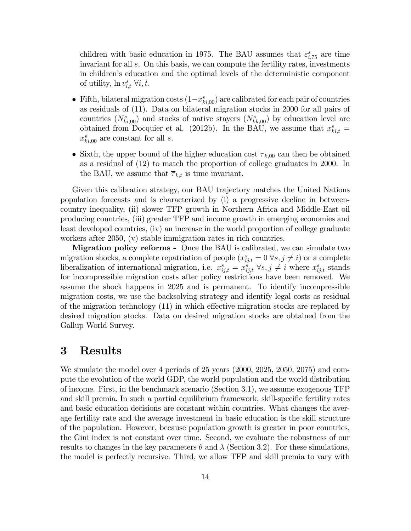children with basic education in 1975. The BAU assumes that  $\varepsilon_{i,75}^s$  are time invariant for all s. On this basis, we can compute the fertility rates, investments in childrenís education and the optimal levels of the deterministic component of utility,  $\ln v_{i,t}^s \,\forall i, t$ .

- Fifth, bilateral migration costs  $(1-x_{ki,00}^s)$  are calibrated for each pair of countries as residuals of (11). Data on bilateral migration stocks in 2000 for all pairs of countries  $(N_{ki,00}^s)$  and stocks of native stayers  $(N_{kk,00}^s)$  by education level are obtained from Docquier et al. (2012b). In the BAU, we assume that  $x_{ki,t}^s =$  $x_{ki,00}^s$  are constant for all s.
- Sixth, the upper bound of the higher education cost  $\overline{\tau}_{k,00}$  can then be obtained as a residual of (12) to match the proportion of college graduates in 2000. In the BAU, we assume that  $\overline{\tau}_{k,t}$  is time invariant.

Given this calibration strategy, our BAU trajectory matches the United Nations population forecasts and is characterized by (i) a progressive decline in betweencountry inequality, (ii) slower TFP growth in Northern Africa and Middle-East oil producing countries, (iii) greater TFP and income growth in emerging economies and least developed countries, (iv) an increase in the world proportion of college graduate workers after 2050, (v) stable immigration rates in rich countries.

Migration policy reforms - Once the BAU is calibrated, we can simulate two migration shocks, a complete repatriation of people  $(x_{ij,t}^s = 0 \forall s, j \neq i)$  or a complete liberalization of international migration, i.e.  $x_{ij,t}^s = \underline{x}_{ij,t}^s \,\,\forall s,j \neq i$  where  $\underline{x}_{ij,t}^s$  stands for incompressible migration costs after policy restrictions have been removed. We assume the shock happens in 2025 and is permanent. To identify incompressible migration costs, we use the backsolving strategy and identify legal costs as residual of the migration technology  $(11)$  in which effective migration stocks are replaced by desired migration stocks. Data on desired migration stocks are obtained from the Gallup World Survey.

### 3 Results

We simulate the model over 4 periods of 25 years (2000, 2025, 2050, 2075) and compute the evolution of the world GDP, the world population and the world distribution of income. First, in the benchmark scenario (Section 3.1), we assume exogenous TFP and skill premia. In such a partial equilibrium framework, skill-specific fertility rates and basic education decisions are constant within countries. What changes the average fertility rate and the average investment in basic education is the skill structure of the population. However, because population growth is greater in poor countries, the Gini index is not constant over time. Second, we evaluate the robustness of our results to changes in the key parameters  $\theta$  and  $\lambda$  (Section 3.2). For these simulations, the model is perfectly recursive. Third, we allow TFP and skill premia to vary with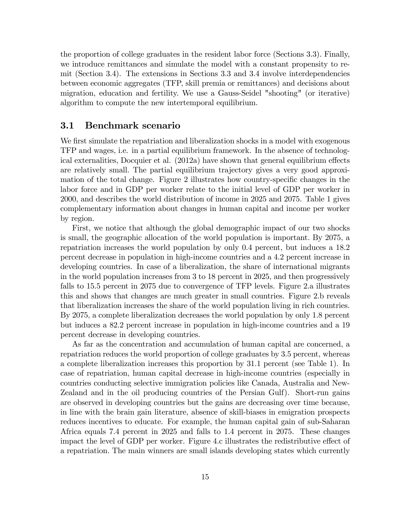the proportion of college graduates in the resident labor force (Sections 3.3). Finally, we introduce remittances and simulate the model with a constant propensity to remit (Section 3.4). The extensions in Sections 3.3 and 3.4 involve interdependencies between economic aggregates (TFP, skill premia or remittances) and decisions about migration, education and fertility. We use a Gauss-Seidel "shooting" (or iterative) algorithm to compute the new intertemporal equilibrium.

### 3.1 Benchmark scenario

We first simulate the repatriation and liberalization shocks in a model with exogenous TFP and wages, i.e. in a partial equilibrium framework. In the absence of technological externalities, Docquier et al.  $(2012a)$  have shown that general equilibrium effects are relatively small. The partial equilibrium trajectory gives a very good approximation of the total change. Figure 2 illustrates how country-specific changes in the labor force and in GDP per worker relate to the initial level of GDP per worker in 2000, and describes the world distribution of income in 2025 and 2075. Table 1 gives complementary information about changes in human capital and income per worker by region.

First, we notice that although the global demographic impact of our two shocks is small, the geographic allocation of the world population is important. By 2075, a repatriation increases the world population by only 0.4 percent, but induces a 18.2 percent decrease in population in high-income countries and a 4.2 percent increase in developing countries. In case of a liberalization, the share of international migrants in the world population increases from 3 to 18 percent in 2025, and then progressively falls to 15.5 percent in 2075 due to convergence of TFP levels. Figure 2.a illustrates this and shows that changes are much greater in small countries. Figure 2.b reveals that liberalization increases the share of the world population living in rich countries. By 2075, a complete liberalization decreases the world population by only 1.8 percent but induces a 82.2 percent increase in population in high-income countries and a 19 percent decrease in developing countries.

As far as the concentration and accumulation of human capital are concerned, a repatriation reduces the world proportion of college graduates by 3.5 percent, whereas a complete liberalization increases this proportion by 31.1 percent (see Table 1). In case of repatriation, human capital decrease in high-income countries (especially in countries conducting selective immigration policies like Canada, Australia and New-Zealand and in the oil producing countries of the Persian Gulf). Short-run gains are observed in developing countries but the gains are decreasing over time because, in line with the brain gain literature, absence of skill-biases in emigration prospects reduces incentives to educate. For example, the human capital gain of sub-Saharan Africa equals 7.4 percent in 2025 and falls to 1.4 percent in 2075. These changes impact the level of GDP per worker. Figure 4.c illustrates the redistributive effect of a repatriation. The main winners are small islands developing states which currently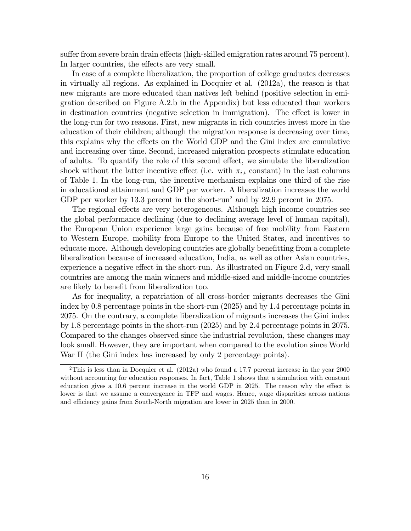suffer from severe brain drain effects (high-skilled emigration rates around 75 percent). In larger countries, the effects are very small.

In case of a complete liberalization, the proportion of college graduates decreases in virtually all regions. As explained in Docquier et al. (2012a), the reason is that new migrants are more educated than natives left behind (positive selection in emigration described on Figure A.2.b in the Appendix) but less educated than workers in destination countries (negative selection in immigration). The effect is lower in the long-run for two reasons. First, new migrants in rich countries invest more in the education of their children; although the migration response is decreasing over time, this explains why the effects on the World GDP and the Gini index are cumulative and increasing over time. Second, increased migration prospects stimulate education of adults. To quantify the role of this second effect, we simulate the liberalization shock without the latter incentive effect (i.e. with  $\pi_{i,t}$  constant) in the last columns of Table 1. In the long-run, the incentive mechanism explains one third of the rise in educational attainment and GDP per worker. A liberalization increases the world GDP per worker by 13.3 percent in the short-run<sup>2</sup> and by 22.9 percent in 2075.

The regional effects are very heterogeneous. Although high income countries see the global performance declining (due to declining average level of human capital), the European Union experience large gains because of free mobility from Eastern to Western Europe, mobility from Europe to the United States, and incentives to educate more. Although developing countries are globally benefitting from a complete liberalization because of increased education, India, as well as other Asian countries, experience a negative effect in the short-run. As illustrated on Figure 2.d, very small countries are among the main winners and middle-sized and middle-income countries are likely to benefit from liberalization too.

As for inequality, a repatriation of all cross-border migrants decreases the Gini index by 0.8 percentage points in the short-run (2025) and by 1.4 percentage points in 2075. On the contrary, a complete liberalization of migrants increases the Gini index by 1.8 percentage points in the short-run (2025) and by 2.4 percentage points in 2075. Compared to the changes observed since the industrial revolution, these changes may look small. However, they are important when compared to the evolution since World War II (the Gini index has increased by only 2 percentage points).

<sup>&</sup>lt;sup>2</sup>This is less than in Docquier et al.  $(2012a)$  who found a 17.7 percent increase in the year 2000 without accounting for education responses. In fact, Table 1 shows that a simulation with constant education gives a  $10.6$  percent increase in the world GDP in 2025. The reason why the effect is lower is that we assume a convergence in TFP and wages. Hence, wage disparities across nations and efficiency gains from South-North migration are lower in 2025 than in 2000.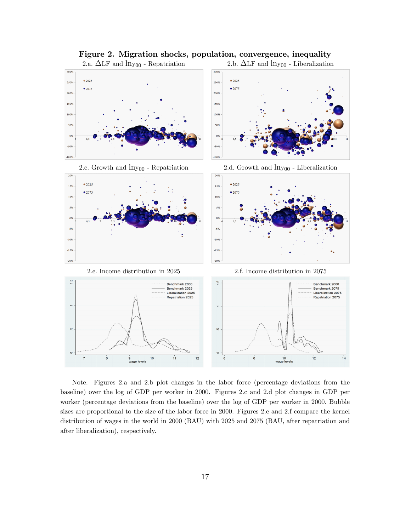

Figure 2. Migration shocks, population, convergence, inequality

Note. Figures 2.a and 2.b plot changes in the labor force (percentage deviations from the baseline) over the log of GDP per worker in 2000. Figures 2.c and 2.d plot changes in GDP per worker (percentage deviations from the baseline) over the log of GDP per worker in 2000. Bubble sizes are proportional to the size of the labor force in 2000. Figures 2.e and 2.f compare the kernel distribution of wages in the world in 2000 (BAU) with 2025 and 2075 (BAU, after repatriation and after liberalization), respectively.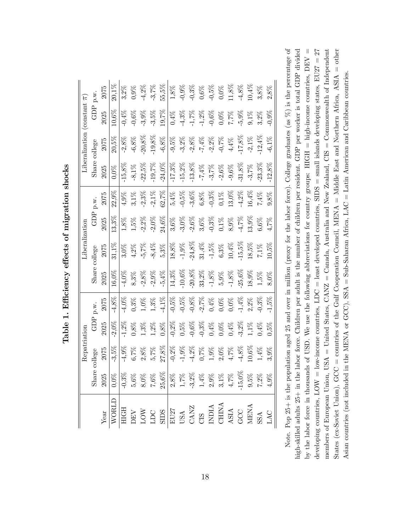|              |         | Repatriation                                                    |                                                                |                                                                  |                                                            | iberalization                                              |                                          |                                             |                                                            | Liberalization (constant $\pi$ )                         |                                                                     |                                                                                     |
|--------------|---------|-----------------------------------------------------------------|----------------------------------------------------------------|------------------------------------------------------------------|------------------------------------------------------------|------------------------------------------------------------|------------------------------------------|---------------------------------------------|------------------------------------------------------------|----------------------------------------------------------|---------------------------------------------------------------------|-------------------------------------------------------------------------------------|
|              | Shar    | llege                                                           | G<br>D<br>P                                                    | p.w.                                                             |                                                            | Share college                                              | GDP                                      | p.w.                                        | Share                                                      | $_{\rm{college}}$                                        | GDP                                                                 | p.w.                                                                                |
| ${\it Year}$ | 2025    | 2075                                                            | 2025                                                           | 2075                                                             | 2025                                                       | 2075                                                       | 2025                                     | 2075                                        | 2025                                                       | 2075                                                     | 2025                                                                | 2075                                                                                |
|              | $0,0\%$ | $-3,5\%$                                                        | $2,0\%$                                                        | $-4,8\%$                                                         | $.6,0\%$                                                   | $31,1\%$                                                   | $13,3\%$                                 | $22,9\%$                                    | $0.0\%$                                                    | $20,5\%$                                                 | $10,6\%$                                                            | $20,1\%$                                                                            |
|              |         | $4.9\%$                                                         | $1,2\%$                                                        | $4,0\%$                                                          | 4,0%                                                       | $3.0\%$                                                    |                                          | $4.9\%$                                     | $15,8\%$                                                   | $-2.8\%$                                                 | $0,4\%$                                                             | $3,2\%$                                                                             |
|              |         |                                                                 |                                                                | 0,3%                                                             | $8.3\%$                                                    | $4.2\%$                                                    |                                          | $3,1\%$                                     | $\textbf{-8.1}\%$                                          | $-6.8\%$                                                 | $0.6\%$                                                             | $0.9\%$                                                                             |
|              |         | $\begin{array}{l} 6,7\% \\ 2,8\% \\ 5,7\% \end{array}$          | $^{1,8\%}_{1,3\%}$                                             | $1.0\%$                                                          | $.2,8\%$                                                   | $5,7\%$                                                    | $1,5\%$<br>$1,5\%$<br>$-2,2\%$           | $\textbf{-2,3}\%$                           | $22,5\%$                                                   | $.20,8\%$                                                | $3.9\%$                                                             |                                                                                     |
|              |         |                                                                 | $1,2\%$                                                        | $1.3\%$                                                          | $2,9\%$                                                    | $\textbf{-8,4}\%$                                          | $2.0\%$                                  | $2,1\%$                                     | $19,7\%$                                                   | $19,\!8\%$                                               | 3,5%                                                                | $-4,2\%$<br>$-3,7\%$                                                                |
|              |         | $27,8\%$                                                        | $0,8\%$                                                        | 4,1%                                                             | $5,4\%$                                                    | $5.3\%$                                                    | $24,6\%$                                 | $62.7\%$                                    | $24{,}0\%$                                                 | $-6.8\%$                                                 | 9,7%                                                                | $55,5\%$                                                                            |
|              |         | $-0,2\%$                                                        | $0,2\%$                                                        | $-0,5\%$                                                         | $14{,}3\%$                                                 | $18{,}8\%$                                                 | $3{,}6\%$                                | $5.4\%$                                     | $17{,}3\%$                                                 | $-9,5\%$                                                 | $0.4\%$                                                             | $1.8\%$                                                                             |
|              |         | $\text{-}1,\!9\%$                                               |                                                                | $\begin{array}{c} 0,5\% \\ -0,8\% \\ 2,7\% \\ 0,4\% \end{array}$ | $10,\!6\%$                                                 | $\text{-}1,\!9\%$                                          | $-3,0\%$                                 |                                             | $\textbf{-15},\!2\%$                                       | $-3,2\%$<br>$-2,8\%$<br>$-7,4\%$<br>$-0,7\%$<br>$-4,4\%$ |                                                                     |                                                                                     |
|              |         | $-4,2\%$                                                        |                                                                |                                                                  |                                                            |                                                            |                                          | $-0,5\%$<br>$-3,6\%$<br>$6,8\%$<br>$-0,3\%$ | $\begin{array}{c} -13,8\% \\ -7,4\% \\ -3,7\% \end{array}$ |                                                          |                                                                     |                                                                                     |
|              |         |                                                                 |                                                                |                                                                  | $\begin{array}{l} -20,8\% \\ 33,2\% \\ -1,8\% \end{array}$ | $\begin{array}{c} -24,8\% \\ 31,4\% \\ -1,5\% \end{array}$ |                                          |                                             |                                                            |                                                          |                                                                     |                                                                                     |
|              |         |                                                                 |                                                                |                                                                  |                                                            |                                                            |                                          |                                             |                                                            |                                                          |                                                                     |                                                                                     |
|              |         | $\begin{array}{l} 0,7\% \\ 1,9\% \\ 2,0\% \\ 4,7\% \end{array}$ |                                                                | $0,0\%$                                                          |                                                            | $6.3\%$                                                    |                                          | $0,1\%$                                     | $-2,6\%$                                                   |                                                          |                                                                     |                                                                                     |
|              |         |                                                                 | $0,5\%$<br>$0,6\%$<br>$0,3\%$<br>$0,4\%$<br>$0,0\%$<br>$0,4\%$ | $0.0\%$                                                          | $5,9\%$ -1,8%                                              | $10,\!4\%$                                                 | $-2,6\%$<br>3,6%<br>0,1%<br>0,1%<br>8,9% | $13,0\%$                                    | $-9,6\%$                                                   |                                                          | $7,7\%$<br>$-1,7\%$<br>$-1,2\%$<br>$-0,6\%$<br>$-0,6\%$<br>$-0,6\%$ | $\begin{array}{l} -0.9\% \\ -0.3\% \\ 0.6\% \\ 0.5\% \\ 0.0\% \\ 0.0\% \end{array}$ |
|              |         | $4.8\%$                                                         | $3,2\%$                                                        | $.1,4\%$<br>2,2%                                                 | $-25,6\%$ 18,9%                                            | $15,5\%$                                                   | $-4,7\%$<br>13,9%                        | $\textbf{-4.2}\%$                           | $\cdot 31,8\%$                                             | $17.8\%$                                                 | $5,9\%$<br>9,1%                                                     | $\textbf{-4.8}\%$                                                                   |
|              |         | $0,6\%$                                                         | $1.1\%$                                                        |                                                                  |                                                            | $18,5\%$                                                   |                                          | 16,4%                                       | $-3.7\%$                                                   | $-2,1\%$                                                 |                                                                     | $0,4\%$                                                                             |
|              |         | $1.4\%$                                                         | 0,4%                                                           | $0.3\%$                                                          | $1,5\%$                                                    | $7,1\%$                                                    | $6{,}6\%$                                | $7.4\%$                                     | $23,\!3\%$                                                 | $12,\!4\%$                                               | $3.2\%$                                                             | $3,8\%$                                                                             |
|              |         | 8,9%                                                            | 1,5%                                                           | $1,5\%$                                                          | 8,0%                                                       | $10,5\%$                                                   | 4,7%                                     | 1,8%                                        | $12,8\%$                                                   | $-6,1\%$                                                 | $0,9\%$                                                             | $2.8\%$                                                                             |

Table 1. Efficiency effects of migration shocks Table 1. Efficiency effects of migration shocks

Note. Pop 25+ is the population aged 25 and over in million (proxy for the labor force). College graduates (as  $\%$ ) is the percentage of members of European Union, USA = United States,  $CANZ =$  Canada, Australia and New Zealand,  $CIS =$  Commonwealth of Independent high-skilled adults 25+ in the labor force. Children per adult is the number of children per resident. GDP per worker is total GDP divided by the labor force in thousands of USD. We use the following abbreviations for country groups: HIGH = high-income countries,  $DEF V =$ developing countries,  $LOW = low$ -income countries,  $LDC =$  least developed countries,  $SIDS =$  small islands developing states,  $EU27 = 27$ States (ex-Soviet Union), GCC = countries of the Gulf Cooperation Council, MENA = Middle East and Northern Africa, ASIA = other Note. Pop 25+ is the population aged 25 and over in million (proxy for the labor force). College graduates (as %) is the percentage of by the labor force in thousands of USD. We use the following abbreviations for country groups: HIGH = high-income countries, DEV = high-skilled adults 25+ in the labor force. Children per adult is the number of children per resident. GDP per worker is total GDP divided developing countries,  $\text{LOW} = \text{lower countries}, \text{LDC} = \text{least developed countries}, \text{SIDS} = \text{small islands developed events}$ members of European Union, USA = United States, CANZ = Canada, Australia and New Zealand, CIS = Commonwealth of Independent States (ex-Soviet Union), GCC = countries of the Gulf Cooperation Council, MENA = Middle East and Northern Africa, ASIA = other Asian countries (not included in the MENA or GCC), SSA = Sub-Saharan Africa, LAC = Latin American and Caribbean countries. Asian countries (not included in the MENA or GCC), SSA = Sub-Saharan Africa, LAC = Latin American and Caribbean countries.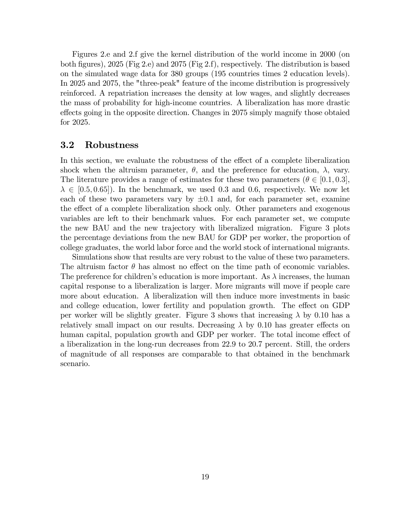Figures 2.e and 2.f give the kernel distribution of the world income in 2000 (on both figures), 2025 (Fig 2.e) and 2075 (Fig 2.f), respectively. The distribution is based on the simulated wage data for 380 groups (195 countries times 2 education levels). In 2025 and 2075, the "three-peak" feature of the income distribution is progressively reinforced. A repatriation increases the density at low wages, and slightly decreases the mass of probability for high-income countries. A liberalization has more drastic effects going in the opposite direction. Changes in 2075 simply magnify those obtaied for 2025.

### 3.2 Robustness

In this section, we evaluate the robustness of the effect of a complete liberalization shock when the altruism parameter,  $\theta$ , and the preference for education,  $\lambda$ , vary. The literature provides a range of estimates for these two parameters  $(\theta \in [0.1, 0.3],$  $\lambda \in [0.5, 0.65]$ . In the benchmark, we used 0.3 and 0.6, respectively. We now let each of these two parameters vary by  $\pm 0.1$  and, for each parameter set, examine the effect of a complete liberalization shock only. Other parameters and exogenous variables are left to their benchmark values. For each parameter set, we compute the new BAU and the new trajectory with liberalized migration. Figure 3 plots the percentage deviations from the new BAU for GDP per worker, the proportion of college graduates, the world labor force and the world stock of international migrants.

Simulations show that results are very robust to the value of these two parameters. The altruism factor  $\theta$  has almost no effect on the time path of economic variables. The preference for children's education is more important. As  $\lambda$  increases, the human capital response to a liberalization is larger. More migrants will move if people care more about education. A liberalization will then induce more investments in basic and college education, lower fertility and population growth. The effect on GDP per worker will be slightly greater. Figure 3 shows that increasing  $\lambda$  by 0.10 has a relatively small impact on our results. Decreasing  $\lambda$  by 0.10 has greater effects on human capital, population growth and GDP per worker. The total income effect of a liberalization in the long-run decreases from 22.9 to 20.7 percent. Still, the orders of magnitude of all responses are comparable to that obtained in the benchmark scenario.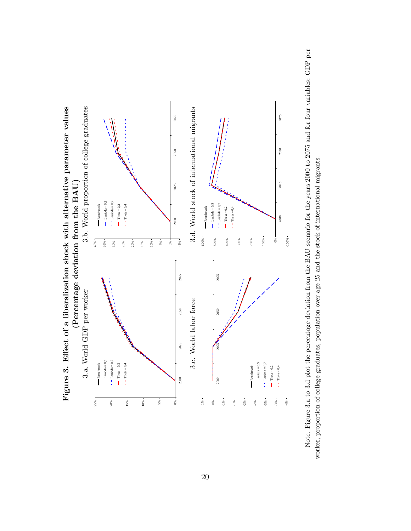

Note. Figure 3.a to 3.d plot the percentage deviation from the BAU scenario for the years 2000 to 2075 and for four variables: GDP per Note. Figure 3.a to 3.d plot the percentage deviation from the BAU scenario for the years 2000 to 2075 and for four variables: GDP per worker, proportion of college graduates, population over age 25 and the stock of international migrants. worker, proportion of college graduates, population over age 25 and the stock of international migrants.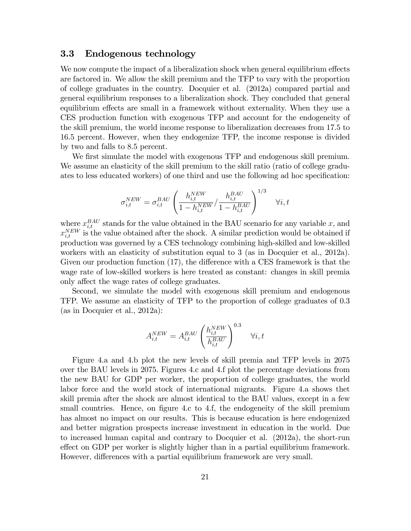### 3.3 Endogenous technology

We now compute the impact of a liberalization shock when general equilibrium effects are factored in. We allow the skill premium and the TFP to vary with the proportion of college graduates in the country. Docquier et al. (2012a) compared partial and general equilibrium responses to a liberalization shock. They concluded that general equilibrium effects are small in a framework without externality. When they use a CES production function with exogenous TFP and account for the endogeneity of the skill premium, the world income response to liberalization decreases from 17.5 to 16.5 percent. However, when they endogenize TFP, the income response is divided by two and falls to 8.5 percent.

We first simulate the model with exogenous TFP and endogenous skill premium. We assume an elasticity of the skill premium to the skill ratio (ratio of college graduates to less educated workers) of one third and use the following ad hoc specification:

$$
\sigma_{i,t}^{NEW} = \sigma_{i,t}^{BAU} \left( \frac{h_{i,t}^{NEW}}{1 - h_{i,t}^{NEW}} / \frac{h_{i,t}^{BAU}}{1 - h_{i,t}^{BAU}} \right)^{1/3} \quad \forall i, t
$$

where  $x_{i,t}^{BAU}$  stands for the value obtained in the BAU scenario for any variable x, and  $x_{i,t}^{NEW}$  is the value obtained after the shock. A similar prediction would be obtained if production was governed by a CES technology combining high-skilled and low-skilled workers with an elasticity of substitution equal to 3 (as in Docquier et al., 2012a). Given our production function  $(17)$ , the difference with a CES framework is that the wage rate of low-skilled workers is here treated as constant: changes in skill premia only affect the wage rates of college graduates.

Second, we simulate the model with exogenous skill premium and endogenous TFP. We assume an elasticity of TFP to the proportion of college graduates of 0.3 (as in Docquier et al., 2012a):

$$
A_{i,t}^{NEW} = A_{i,t}^{BAU} \left(\frac{h_{i,t}^{NEW}}{h_{i,t}^{BAU}}\right)^{0.3} \quad \forall i,t
$$

Figure 4.a and 4.b plot the new levels of skill premia and TFP levels in 2075 over the BAU levels in 2075. Figures 4.c and 4.f plot the percentage deviations from the new BAU for GDP per worker, the proportion of college graduates, the world labor force and the world stock of international migrants. Figure 4.a shows thet skill premia after the shock are almost identical to the BAU values, except in a few small countries. Hence, on figure 4.c to 4.f, the endogeneity of the skill premium has almost no impact on our results. This is because education is here endogenized and better migration prospects increase investment in education in the world. Due to increased human capital and contrary to Docquier et al. (2012a), the short-run effect on GDP per worker is slightly higher than in a partial equilibrium framework. However, differences with a partial equilibrium framework are very small.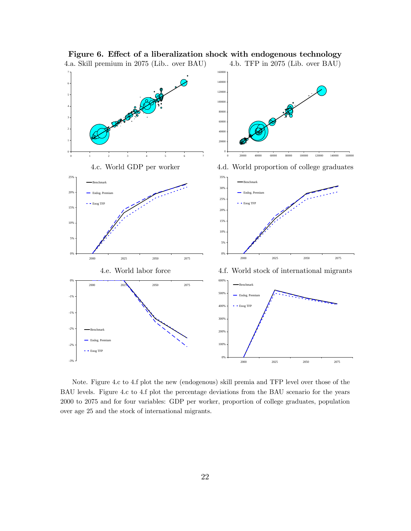

Figure 6. Effect of a liberalization shock with endogenous technology

Note. Figure 4.c to 4.f plot the new (endogenous) skill premia and TFP level over those of the BAU levels. Figure 4.c to 4.f plot the percentage deviations from the BAU scenario for the years 2000 to 2075 and for four variables: GDP per worker, proportion of college graduates, population over age 25 and the stock of international migrants.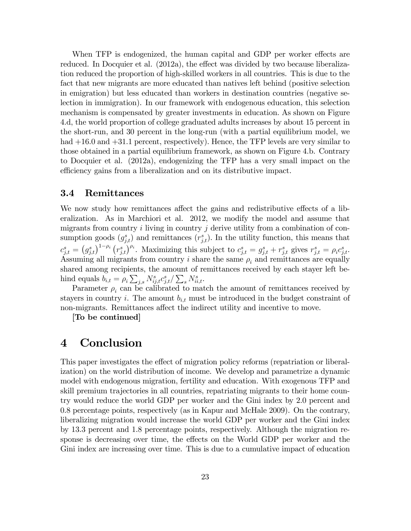When TFP is endogenized, the human capital and GDP per worker effects are reduced. In Docquier et al.  $(2012a)$ , the effect was divided by two because liberalization reduced the proportion of high-skilled workers in all countries. This is due to the fact that new migrants are more educated than natives left behind (positive selection in emigration) but less educated than workers in destination countries (negative selection in immigration). In our framework with endogenous education, this selection mechanism is compensated by greater investments in education. As shown on Figure 4.d, the world proportion of college graduated adults increases by about 15 percent in the short-run, and 30 percent in the long-run (with a partial equilibrium model, we had  $+16.0$  and  $+31.1$  percent, respectively). Hence, the TFP levels are very similar to those obtained in a partial equilibrium framework, as shown on Figure 4.b. Contrary to Docquier et al. (2012a), endogenizing the TFP has a very small impact on the efficiency gains from a liberalization and on its distributive impact.

### 3.4 Remittances

We now study how remittances affect the gains and redistributive effects of a liberalization. As in Marchiori et al. 2012, we modify the model and assume that migrants from country  $i$  living in country  $j$  derive utility from a combination of consumption goods  $(g_{j,t}^s)$  and remittances  $(r_{j,t}^s)$ . In the utility function, this means that  $c_{j,t}^s = (g_{j,t}^s)^{1-\rho_i} (r_{j,t}^s)^{\rho_i}$ . Maximizing this subject to  $c_{j,t}^s = g_{j,t}^s + r_{j,t}^s$  gives  $r_{j,t}^s = \rho_i c_{j,t}^s$ . Assuming all migrants from country i share the same  $\rho_i$  and remittances are equally shared among recipients, the amount of remittances received by each stayer left behind equals  $b_{i,t} = \rho_i \sum_{j,s} N_{ij,t}^s c_{j,t}^s / \sum_s N_{ii,t}^s$ .

Parameter  $\rho_i$  can be calibrated to match the amount of remittances received by stayers in country i. The amount  $b_{i,t}$  must be introduced in the budget constraint of non-migrants. Remittances affect the indirect utility and incentive to move.

[To be continued]

# 4 Conclusion

This paper investigates the effect of migration policy reforms (repatriation or liberalization) on the world distribution of income. We develop and parametrize a dynamic model with endogenous migration, fertility and education. With exogenous TFP and skill premium trajectories in all countries, repatriating migrants to their home country would reduce the world GDP per worker and the Gini index by 2.0 percent and 0.8 percentage points, respectively (as in Kapur and McHale 2009). On the contrary, liberalizing migration would increase the world GDP per worker and the Gini index by 13.3 percent and 1.8 percentage points, respectively. Although the migration response is decreasing over time, the effects on the World GDP per worker and the Gini index are increasing over time. This is due to a cumulative impact of education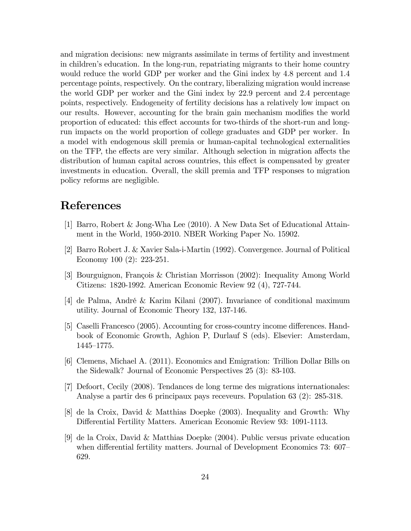and migration decisions: new migrants assimilate in terms of fertility and investment in children's education. In the long-run, repatriating migrants to their home country would reduce the world GDP per worker and the Gini index by 4.8 percent and 1.4 percentage points, respectively. On the contrary, liberalizing migration would increase the world GDP per worker and the Gini index by 22.9 percent and 2.4 percentage points, respectively. Endogeneity of fertility decisions has a relatively low impact on our results. However, accounting for the brain gain mechanism modifies the world proportion of educated: this effect accounts for two-thirds of the short-run and longrun impacts on the world proportion of college graduates and GDP per worker. In a model with endogenous skill premia or human-capital technological externalities on the TFP, the effects are very similar. Although selection in migration affects the distribution of human capital across countries, this effect is compensated by greater investments in education. Overall, the skill premia and TFP responses to migration policy reforms are negligible.

# References

- [1] Barro, Robert & Jong-Wha Lee (2010). A New Data Set of Educational Attainment in the World, 1950-2010. NBER Working Paper No. 15902.
- [2] Barro Robert J. & Xavier Sala-i-Martin (1992). Convergence. Journal of Political Economy 100 (2): 223-251.
- [3] Bourguignon, François & Christian Morrisson (2002): Inequality Among World Citizens: 1820-1992. American Economic Review 92 (4), 727-744.
- [4] de Palma, AndrÈ & Karim Kilani (2007). Invariance of conditional maximum utility. Journal of Economic Theory 132, 137-146.
- [5] Caselli Francesco (2005). Accounting for cross-country income differences. Handbook of Economic Growth, Aghion P, Durlauf S (eds). Elsevier: Amsterdam,  $1445 - 1775.$
- [6] Clemens, Michael A. (2011). Economics and Emigration: Trillion Dollar Bills on the Sidewalk? Journal of Economic Perspectives 25 (3): 83-103.
- [7] Defoort, Cecily (2008). Tendances de long terme des migrations internationales: Analyse a partir des 6 principaux pays receveurs. Population 63 (2): 285-318.
- [8] de la Croix, David & Matthias Doepke (2003). Inequality and Growth: Why Differential Fertility Matters. American Economic Review 93: 1091-1113.
- [9] de la Croix, David & Matthias Doepke (2004). Public versus private education when differential fertility matters. Journal of Development Economics  $73:607$ 629.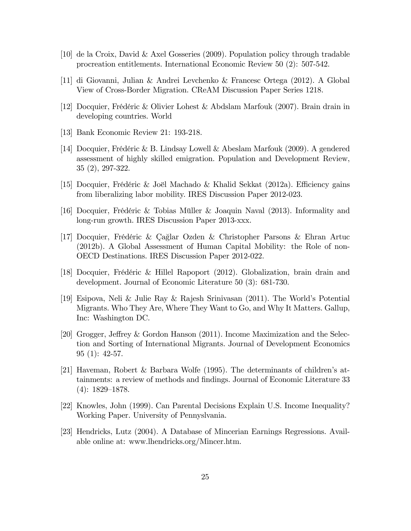- [10] de la Croix, David & Axel Gosseries (2009). Population policy through tradable procreation entitlements. International Economic Review 50 (2): 507-542.
- [11] di Giovanni, Julian & Andrei Levchenko & Francesc Ortega (2012). A Global View of Cross-Border Migration. CReAM Discussion Paper Series 1218.
- [12] Docquier, FrÈdÈric & Olivier Lohest & Abdslam Marfouk (2007). Brain drain in developing countries. World
- [13] Bank Economic Review 21: 193-218.
- [14] Docquier, FrÈdÈric & B. Lindsay Lowell & Abeslam Marfouk (2009). A gendered assessment of highly skilled emigration. Population and Development Review, 35 (2), 297-322.
- [15] Docquier, Frédéric & Joël Machado & Khalid Sekkat (2012a). Efficiency gains from liberalizing labor mobility. IRES Discussion Paper 2012-023.
- [16] Docquier, Frédéric & Tobias Müller & Joaquin Naval (2013). Informality and long-run growth. IRES Discussion Paper 2013-xxx.
- [17] Docquier, Frédéric & Cağlar Ozden & Christopher Parsons & Ehran Artuc (2012b). A Global Assessment of Human Capital Mobility: the Role of non-OECD Destinations. IRES Discussion Paper 2012-022.
- [18] Docquier, Frédéric & Hillel Rapoport (2012). Globalization, brain drain and development. Journal of Economic Literature 50 (3): 681-730.
- [19] Esipova, Neli & Julie Ray & Rajesh Srinivasan (2011). The Worldís Potential Migrants. Who They Are, Where They Want to Go, and Why It Matters. Gallup, Inc: Washington DC.
- [20] Grogger, Jeffrey & Gordon Hanson (2011). Income Maximization and the Selection and Sorting of International Migrants. Journal of Development Economics 95 (1): 42-57.
- [21] Haveman, Robert & Barbara Wolfe (1995). The determinants of children's attainments: a review of methods and findings. Journal of Economic Literature 33  $(4): 1829-1878.$
- [22] Knowles, John (1999). Can Parental Decisions Explain U.S. Income Inequality? Working Paper. University of Pennyslvania.
- [23] Hendricks, Lutz (2004). A Database of Mincerian Earnings Regressions. Available online at: www.lhendricks.org/Mincer.htm.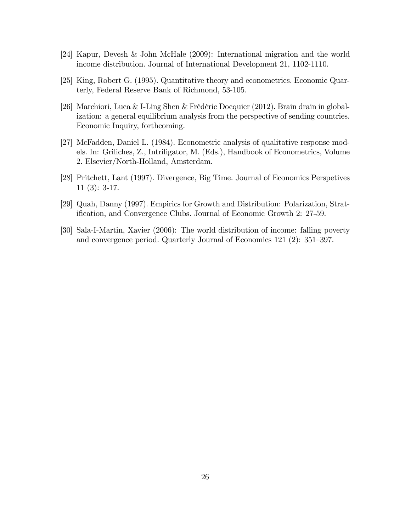- [24] Kapur, Devesh & John McHale (2009): International migration and the world income distribution. Journal of International Development 21, 1102-1110.
- [25] King, Robert G. (1995). Quantitative theory and econometrics. Economic Quarterly, Federal Reserve Bank of Richmond, 53-105.
- [26] Marchiori, Luca & I-Ling Shen & Frédéric Docquier (2012). Brain drain in globalization: a general equilibrium analysis from the perspective of sending countries. Economic Inquiry, forthcoming.
- [27] McFadden, Daniel L. (1984). Econometric analysis of qualitative response models. In: Griliches, Z., Intriligator, M. (Eds.), Handbook of Econometrics, Volume 2. Elsevier/North-Holland, Amsterdam.
- [28] Pritchett, Lant (1997). Divergence, Big Time. Journal of Economics Perspetives 11 (3): 3-17.
- [29] Quah, Danny (1997). Empirics for Growth and Distribution: Polarization, Stratification, and Convergence Clubs. Journal of Economic Growth 2: 27-59.
- [30] Sala-I-Martin, Xavier (2006): The world distribution of income: falling poverty and convergence period. Quarterly Journal of Economics 121  $(2)$ : 351–397.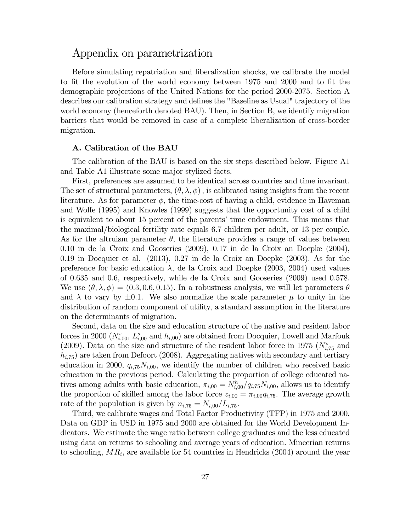### Appendix on parametrization

Before simulating repatriation and liberalization shocks, we calibrate the model to fit the evolution of the world economy between 1975 and 2000 and to fit the demographic projections of the United Nations for the period 2000-2075. Section A describes our calibration strategy and defines the "Baseline as Usual" trajectory of the world economy (henceforth denoted BAU). Then, in Section B, we identify migration barriers that would be removed in case of a complete liberalization of cross-border migration.

#### A. Calibration of the BAU

The calibration of the BAU is based on the six steps described below. Figure A1 and Table A1 illustrate some major stylized facts.

First, preferences are assumed to be identical across countries and time invariant. The set of structural parameters,  $(\theta, \lambda, \phi)$ , is calibrated using insights from the recent literature. As for parameter  $\phi$ , the time-cost of having a child, evidence in Haveman and Wolfe (1995) and Knowles (1999) suggests that the opportunity cost of a child is equivalent to about 15 percent of the parents' time endowment. This means that the maximal/biological fertility rate equals 6.7 children per adult, or 13 per couple. As for the altruism parameter  $\theta$ , the literature provides a range of values between 0.10 in de la Croix and Gooseries (2009), 0.17 in de la Croix an Doepke (2004), 0.19 in Docquier et al. (2013), 0.27 in de la Croix an Doepke (2003). As for the preference for basic education  $\lambda$ , de la Croix and Doepke (2003, 2004) used values of 0.635 and 0.6, respectively, while de la Croix and Gooseries (2009) used 0.578. We use  $(\theta, \lambda, \phi) = (0.3, 0.6, 0.15)$ . In a robustness analysis, we will let parameters  $\theta$ and  $\lambda$  to vary by  $\pm 0.1$ . We also normalize the scale parameter  $\mu$  to unity in the distribution of random component of utility, a standard assumption in the literature on the determinants of migration.

Second, data on the size and education structure of the native and resident labor forces in 2000 ( $N_{i,00}^s$ ,  $L_{i,00}^s$  and  $h_{i,00}$ ) are obtained from Docquier, Lowell and Marfouk (2009). Data on the size and structure of the resident labor force in 1975 ( $N_{i,75}^s$  and  $h_{i,75}$ ) are taken from Defoort (2008). Aggregating natives with secondary and tertiary education in 2000,  $q_{i,75}N_{i,00}$ , we identify the number of children who received basic education in the previous period. Calculating the proportion of college educated natives among adults with basic education,  $\pi_{i,00} = N_{i,00}^h/q_{i,75}N_{i,00}$ , allows us to identify the proportion of skilled among the labor force  $z_{i,00} = \pi_{i,00}q_{i,75}$ . The average growth rate of the population is given by  $n_{i,75} = N_{i,00}/L_{i,75}$ .

Third, we calibrate wages and Total Factor Productivity (TFP) in 1975 and 2000. Data on GDP in USD in 1975 and 2000 are obtained for the World Development Indicators. We estimate the wage ratio between college graduates and the less educated using data on returns to schooling and average years of education. Mincerian returns to schooling,  $MR_i$ , are available for 54 countries in Hendricks (2004) around the year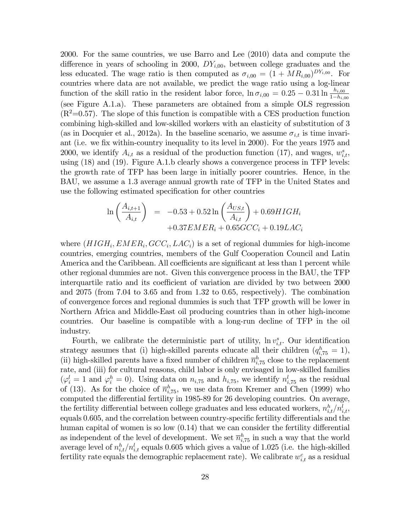2000. For the same countries, we use Barro and Lee (2010) data and compute the difference in years of schooling in 2000,  $DY_{i,00}$ , between college graduates and the less educated. The wage ratio is then computed as  $\sigma_{i,00} = (1 + MR_{i,00})^{DY_{i,00}}$ . For countries where data are not available, we predict the wage ratio using a log-linear function of the skill ratio in the resident labor force,  $\ln \sigma_{i,00} = 0.25 - 0.31 \ln \frac{h_{i,00}}{1 - h_{i,00}}$ (see Figure A.1.a). These parameters are obtained from a simple OLS regression  $(R^2=0.57)$ . The slope of this function is compatible with a CES production function combining high-skilled and low-skilled workers with an elasticity of substitution of 3 (as in Docquier et al., 2012a). In the baseline scenario, we assume  $\sigma_{i,t}$  is time invariant (i.e. we fix within-country inequality to its level in 2000). For the years 1975 and 2000, we identify  $A_{i,t}$  as a residual of the production function (17), and wages,  $w_{i,t}^s$ , using (18) and (19). Figure A.1.b clearly shows a convergence process in TFP levels: the growth rate of TFP has been large in initially poorer countries. Hence, in the BAU, we assume a 1.3 average annual growth rate of TFP in the United States and use the following estimated specification for other countries

$$
\ln\left(\frac{A_{i,t+1}}{A_{i,t}}\right) = -0.53 + 0.52 \ln\left(\frac{A_{US,t}}{A_{i,t}}\right) + 0.69HIGH_i
$$
  
+0.37EMER<sub>i</sub> + 0.65GCC<sub>i</sub> + 0.19LAC<sub>i</sub>

where  $(HIGH_i, EMER_i, GCC_i, LAC_i)$  is a set of regional dummies for high-income countries, emerging countries, members of the Gulf Cooperation Council and Latin America and the Caribbean. All coefficients are significant at less than 1 percent while other regional dummies are not. Given this convergence process in the BAU, the TFP interquartile ratio and its coefficient of variation are divided by two between 2000 and 2075 (from 7.04 to 3.65 and from 1.32 to 0.65, respectively). The combination of convergence forces and regional dummies is such that TFP growth will be lower in Northern Africa and Middle-East oil producing countries than in other high-income countries. Our baseline is compatible with a long-run decline of TFP in the oil industry.

Fourth, we calibrate the deterministic part of utility,  $\ln v_{i,t}^s$ . Our identification strategy assumes that (i) high-skilled parents educate all their children  $(q_{i,75}^h = 1)$ , (ii) high-skilled parents have a fixed number of children  $\overline{n}_{i,75}^h$  close to the replacement rate, and (iii) for cultural reasons, child labor is only envisaged in low-skilled families  $(\varphi_i^l = 1 \text{ and } \varphi_i^h = 0)$ . Using data on  $n_{i,75}$  and  $h_{i,75}$ , we identify  $n_{i,75}^l$  as the residual of (13). As for the choice of  $\overline{n}_{i,75}^h$ , we use data from Kremer and Chen (1999) who computed the differential fertility in 1985-89 for 26 developing countries. On average, the fertility differential between college graduates and less educated workers,  $n_{i,t}^h / n_{i,t}^l$ , equals  $0.605$ , and the correlation between country-specific fertility differentials and the human capital of women is so low  $(0.14)$  that we can consider the fertility differential as independent of the level of development. We set  $\overline{n}_{i,75}^h$  in such a way that the world average level of  $n_{i,t}^h/n_{i,t}^l$  equals 0.605 which gives a value of 1.025 (i.e. the high-skilled fertility rate equals the demographic replacement rate). We calibrate  $w_{i,t}^c$  as a residual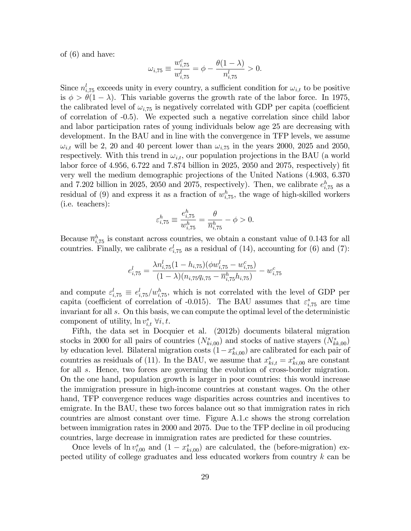of (6) and have:

$$
\omega_{i,75} \equiv \frac{w^c_{i,75}}{w^l_{i,75}} = \phi - \frac{\theta(1-\lambda)}{n^l_{i,75}} > 0.
$$

Since  $n_{i,75}^{l}$  exceeds unity in every country, a sufficient condition for  $\omega_{i,t}$  to be positive is  $\phi > \theta(1 - \lambda)$ . This variable governs the growth rate of the labor force. In 1975, the calibrated level of  $\omega_{i,75}$  is negatively correlated with GDP per capita (coefficient of correlation of -0.5). We expected such a negative correlation since child labor and labor participation rates of young individuals below age 25 are decreasing with development. In the BAU and in line with the convergence in TFP levels, we assume  $\omega_{i,t}$  will be 2, 20 and 40 percent lower than  $\omega_{i,75}$  in the years 2000, 2025 and 2050, respectively. With this trend in  $\omega_{i,t}$ , our population projections in the BAU (a world labor force of  $4.956, 6.722$  and  $7.874$  billion in  $2025, 2050$  and  $2075$ , respectively) fit very well the medium demographic projections of the United Nations (4.903, 6.370 and 7.202 billion in 2025, 2050 and 2075, respectively). Then, we calibrate  $e_{i,75}^h$  as a residual of (9) and express it as a fraction of  $w_{i,75}^h$ , the wage of high-skilled workers (i.e. teachers):

$$
\varepsilon_{i,75}^h \equiv \frac{e_{i,75}^h}{w_{i,75}^h} = \frac{\theta}{\overline{n}_{i,75}^h} - \phi > 0.
$$

Because  $\overline{n}_{i,75}^h$  is constant across countries, we obtain a constant value of 0.143 for all countries. Finally, we calibrate  $e_{i,75}^{l}$  as a residual of (14), accounting for (6) and (7):

$$
e_{i,75}^l = \frac{\lambda n_{i,75}^l (1 - h_{i,75}) (\phi w_{i,75}^l - w_{i,75}^c)}{(1 - \lambda)(n_{i,75}q_{i,75} - \overline{n}_{i,75}^h h_{i,75})} - w_{i,75}^c
$$

and compute  $\varepsilon_{i,75}^l \equiv e_{i,75}^l/w_{i,75}^h$ , which is not correlated with the level of GDP per capita (coefficient of correlation of -0.015). The BAU assumes that  $\varepsilon_{i,75}^{s}$  are time invariant for all s. On this basis, we can compute the optimal level of the deterministic component of utility,  $\ln v_{i,t}^s \ \forall i, t$ .

Fifth, the data set in Docquier et al. (2012b) documents bilateral migration stocks in 2000 for all pairs of countries  $(N_{ki,00}^s)$  and stocks of native stayers  $(N_{kk,00}^s)$ by education level. Bilateral migration costs  $(1-x_{ki,00}^s)$  are calibrated for each pair of countries as residuals of (11). In the BAU, we assume that  $x_{ki,t}^s = x_{ki,00}^s$  are constant for all s. Hence, two forces are governing the evolution of cross-border migration. On the one hand, population growth is larger in poor countries: this would increase the immigration pressure in high-income countries at constant wages. On the other hand, TFP convergence reduces wage disparities across countries and incentives to emigrate. In the BAU, these two forces balance out so that immigration rates in rich countries are almost constant over time. Figure A.1.c shows the strong correlation between immigration rates in 2000 and 2075. Due to the TFP decline in oil producing countries, large decrease in immigration rates are predicted for these countries.

Once levels of  $\ln v_{i,00}^s$  and  $(1 - x_{ki,00}^s)$  are calculated, the (before-migration) expected utility of college graduates and less educated workers from country k can be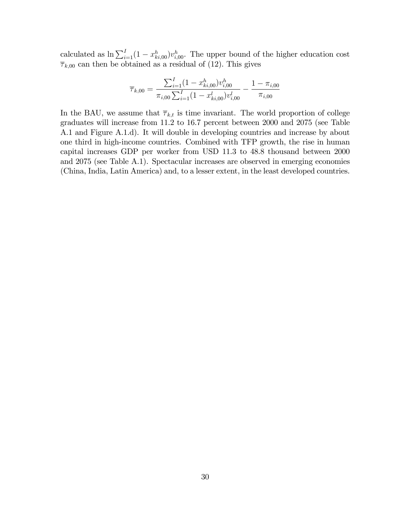calculated as  $\ln \sum_{i=1}^{I} (1 - x_{ki,00}^h) v_{i,00}^h$ . The upper bound of the higher education cost  $\overline{\tau}_{k,00}$  can then be obtained as a residual of (12). This gives

$$
\overline{\tau}_{k,00} = \frac{\sum_{i=1}^{I} (1 - x_{ki,00}^h) v_{i,00}^h}{\pi_{i,00} \sum_{i=1}^{I} (1 - x_{ki,00}^l) v_{i,00}^l} - \frac{1 - \pi_{i,00}}{\pi_{i,00}}
$$

In the BAU, we assume that  $\overline{\tau}_{k,t}$  is time invariant. The world proportion of college graduates will increase from 11.2 to 16.7 percent between 2000 and 2075 (see Table A.1 and Figure A.1.d). It will double in developing countries and increase by about one third in high-income countries. Combined with TFP growth, the rise in human capital increases GDP per worker from USD 11.3 to 48.8 thousand between 2000 and 2075 (see Table A.1). Spectacular increases are observed in emerging economies (China, India, Latin America) and, to a lesser extent, in the least developed countries.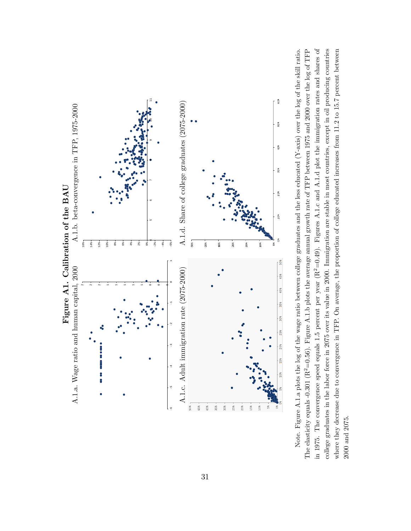

The elasticity equals -0.301 ( $R^2$ =0.56). Figure A.1.b plots the average annual growth rate of TFP between 1975 and 2000 over the log of TFP in 1975. The convergence speed equals 1.5 percent per year ( $R^2=0.49$ ). Figures A.1.c and A.1.d plot the immigration rates and shares of college graduates in the labor force in 2075 over its value in 2000. Immigration are stable in most countries, except in oil producing countries Note. Figure A.1.a plots the log of the wage ratio between college graduates and the less educated  $(Y$ -axis) over the log of the skill ratio. where they decrease due to convergence in TFP. On average, the proportion of college educated increases from 11.2 to 15.7 percent between in 1975. The convergence speed equals 1.5 percent per year (R2=0.49). Figures A.1.c and A.1.d plot the immigration rates and shares of Note. Figure A.1.a plots the log of the wage ratio between college graduates and the less educated (Y-axis) over the log of the skill ratio. The elasticity equals -0.301 (R<sup>2</sup>=0.56). Figure A.1.b plots the average annual growth rate of TFP between 1975 and 2000 over the log of TFP college graduates in the labor force in 2075 over its value in 2000. Immigration are stable in most countries, except in oil producing countries where they decrease due to convergence in TFP. On average, the proportion of college educated increases from 11.2 to 15.7 percent between  $2000$  and  $2075\hspace{-4pt}.$ 2000 and 2075.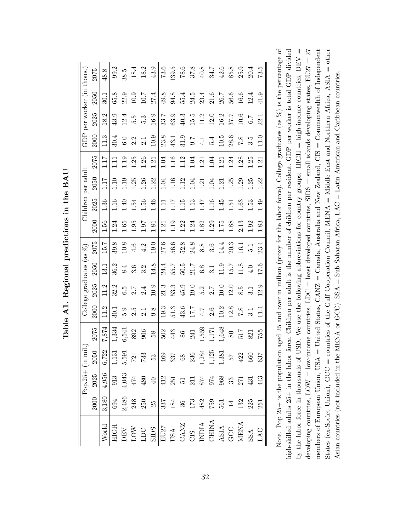|                                                                                                                                                                                                                                                                                                                                                                                                                                                              |                                                                                                                                                                                                                                                                                                                      | Pop.25+ $\overline{\text{in}}$                                           | mil.                                                                |        |                   | College graduates (as $%$ ) |                 |                 |                   |                   | Children per adult |         |                |                                          | GDP per worker (in thous. |          |
|--------------------------------------------------------------------------------------------------------------------------------------------------------------------------------------------------------------------------------------------------------------------------------------------------------------------------------------------------------------------------------------------------------------------------------------------------------------|----------------------------------------------------------------------------------------------------------------------------------------------------------------------------------------------------------------------------------------------------------------------------------------------------------------------|--------------------------------------------------------------------------|---------------------------------------------------------------------|--------|-------------------|-----------------------------|-----------------|-----------------|-------------------|-------------------|--------------------|---------|----------------|------------------------------------------|---------------------------|----------|
|                                                                                                                                                                                                                                                                                                                                                                                                                                                              | 2000                                                                                                                                                                                                                                                                                                                 | 2025                                                                     | $\mathbf{50}$<br>$\mathcal{S}$                                      | 2075   | 2000              | 2025                        | 2050            | 2075            | 2000              | 2025              | 2050               | 2075    | 2000           | 2025                                     | 2050                      | 2075     |
| World                                                                                                                                                                                                                                                                                                                                                                                                                                                        | 3,180                                                                                                                                                                                                                                                                                                                | $\frac{4,956}{913}$                                                      | 6,722                                                               | ,874   | 11.2              | 11.2                        | $\overline{31}$ | 15.7            | 1.56              | 36                | 117                | 1 . I 7 | 113            | $\mathbf{\mathcal{C}}$<br>$\frac{8}{15}$ | 30.1                      | 48.8     |
|                                                                                                                                                                                                                                                                                                                                                                                                                                                              | 694                                                                                                                                                                                                                                                                                                                  |                                                                          | 1,131                                                               | 1,334  | $\overline{30.1}$ | 32.2                        | 36.2            | 39.8            | 1.24              | $\frac{16}{1}$    | 1.10               | Ξ       | 30.4           | 43.9                                     | 65.8                      | 99.2     |
|                                                                                                                                                                                                                                                                                                                                                                                                                                                              |                                                                                                                                                                                                                                                                                                                      |                                                                          |                                                                     | 6,541  | 5.9               | 6.5                         | 8.4             | 10.8            | 0.65              | ⊕.                | 1.19               | 1.19    | 6.0            | 12.4                                     | 22.9                      | 38.5     |
|                                                                                                                                                                                                                                                                                                                                                                                                                                                              | 2,486<br>248<br>250                                                                                                                                                                                                                                                                                                  |                                                                          | $\begin{array}{c} 5{,}591 \\ 721 \end{array}$                       | 892    | 2.5               | 2.7                         | 3.6             | 4.6             | 0.95              | بر<br>24          | 1.25               | 1.25    | 2.2            | 5.5                                      | 10.9                      | 18.4     |
|                                                                                                                                                                                                                                                                                                                                                                                                                                                              |                                                                                                                                                                                                                                                                                                                      |                                                                          | 733                                                                 | 906    | $\overline{2.1}$  | 2.4                         | 3.2             | 4.2             | 16.1              | $\overline{56}$ . | 1.26               | 1.26    | 2.1            | 5.3                                      | 10.7                      | 18.2     |
| $\begin{tabular}{c c} \hline \textbf{HGH} \\ \hline \textbf{H}S \\ \textbf{LOW} \\ \textbf{LOW} \\ \textbf{LOW} \\ \textbf{LOM} \\ \textbf{HOM} \\ \textbf{HOM} \\ \textbf{HOM} \\ \textbf{HOM} \\ \textbf{HOM} \\ \textbf{HOM} \\ \textbf{HOM} \\ \textbf{HOM} \\ \textbf{HOM} \\ \textbf{HOM} \\ \textbf{HOM} \\ \textbf{HOM} \\ \textbf{HOM} \\ \textbf{HOM} \\ \textbf{HOM} \\ \textbf{HOM} \\ \textbf{HOM} \\ \textbf{HOM} \\ \textbf{HOM} \\ \textbf{$ | $25\,$                                                                                                                                                                                                                                                                                                               | $\frac{4,043}{474}$<br>$\frac{474}{480}$<br>$\frac{40}{412}$             | $rac{53}{469}$ 37<br>38<br>38                                       | 58     | 9.8               | 10.9                        | 14.8            | $\frac{0.61}{}$ | $\overline{18.1}$ | $95 -$            | 1.22               | 1.21    | 10.9           | 16.9                                     | 27.4                      | 43.9     |
|                                                                                                                                                                                                                                                                                                                                                                                                                                                              |                                                                                                                                                                                                                                                                                                                      |                                                                          |                                                                     | 502    | 19.3              | 21.3                        | 24.4            | 27.6            | 1.21              | Ξ                 | 1.04               | 1.04    | 23.8           | 33.7                                     | 49.8                      | 73.6     |
|                                                                                                                                                                                                                                                                                                                                                                                                                                                              | $\frac{1}{33}$ $\frac{3}{2}$ $\frac{3}{2}$ $\frac{3}{2}$ $\frac{3}{2}$ $\frac{3}{2}$ $\frac{3}{2}$ $\frac{3}{2}$ $\frac{3}{2}$ $\frac{3}{2}$ $\frac{3}{2}$ $\frac{3}{2}$ $\frac{3}{2}$ $\frac{3}{2}$ $\frac{3}{2}$ $\frac{3}{2}$ $\frac{3}{2}$ $\frac{3}{2}$ $\frac{3}{2}$ $\frac{3}{2}$ $\frac{3}{2}$ $\frac{3}{2}$ | $\begin{array}{c} 251 \\ 511 \\ 874 \\ 968 \\ 968 \\ 371 \\ \end{array}$ |                                                                     | 443    | 51.3              | 53.3                        | 55.7            | 56.6            | 1.19              | ZET               | 1.16               | 1.16    | 43.1           | 63.9                                     | 94.8                      | 139.5    |
|                                                                                                                                                                                                                                                                                                                                                                                                                                                              |                                                                                                                                                                                                                                                                                                                      |                                                                          |                                                                     | 86     | 43.6              | 45.9                        | 50.5            | 52.8            | 1.22              | 15                | 1.12               | 1.12    | 31.9           | 40.3                                     | 55.4                      | $78.6\,$ |
|                                                                                                                                                                                                                                                                                                                                                                                                                                                              |                                                                                                                                                                                                                                                                                                                      |                                                                          |                                                                     | 241    | 7.7               | 19.0                        | 21.7            | 24.8            | 1.24              | 13                | 1.04               | 1.04    | 0.7            | 15.5                                     | 24.5                      | 37.8     |
|                                                                                                                                                                                                                                                                                                                                                                                                                                                              |                                                                                                                                                                                                                                                                                                                      |                                                                          |                                                                     | 1,559  | $4.7\,$           | 5.2                         | $6.8\,$         | 8.8             | 1.82              | 7F.               | 1.21               | 1.21    | $\frac{1}{4}$  | 11.2                                     | 23.4                      | $40.8$   |
|                                                                                                                                                                                                                                                                                                                                                                                                                                                              |                                                                                                                                                                                                                                                                                                                      |                                                                          | $\begin{array}{c} 1,284 \\ 1,125 \\ 1,381 \\ 57 \\ 422 \end{array}$ | 1,171  | 2.6               | 2.7                         | 3.1             | 3.6             | 1.29              | 1.16              | 1.04               | 1.04    | 5.4            | 12.0                                     | 21.6                      | 34.7     |
|                                                                                                                                                                                                                                                                                                                                                                                                                                                              | $561$ $14$                                                                                                                                                                                                                                                                                                           |                                                                          |                                                                     | 1,648  | 10.2              | 10.0                        | 11.9            | 14.4            | 1.75              | 45                | 1.21               | 1.21    | 10.5           | 16.2                                     | 26.7                      | $42.6\,$ |
|                                                                                                                                                                                                                                                                                                                                                                                                                                                              |                                                                                                                                                                                                                                                                                                                      |                                                                          |                                                                     | $80\,$ | 12.8              | 12.0                        | 15.7            | 20.3            | 1.88              | Ę                 | 1.25               | 1.24    | 28.6           | 37.7                                     | 56.6                      | 85.8     |
|                                                                                                                                                                                                                                                                                                                                                                                                                                                              | 132                                                                                                                                                                                                                                                                                                                  |                                                                          |                                                                     | 517    | 7.8               | 8.5                         | 1.8             | 16.1            | 2.13              | .63               | 1.29               | 1.28    | 7.8            | 10.6                                     | 16.6                      | 25.9     |
|                                                                                                                                                                                                                                                                                                                                                                                                                                                              | 225                                                                                                                                                                                                                                                                                                                  | 431                                                                      | 660                                                                 | 821    |                   | $\overline{3}\overline{1}$  | 4.0             | 12              | 0.92              | 53.               | 1.25               | 1.25    | 3.5            | 6.7                                      | 12.4                      | 20.4     |
| LAC                                                                                                                                                                                                                                                                                                                                                                                                                                                          | 251                                                                                                                                                                                                                                                                                                                  | 443                                                                      | 637                                                                 | 755    | $\frac{4}{11}$    | 12.9                        | 17.6            | 23.4            | 1.83              | 1.49              | 1.22               | 1.21    | $\frac{0}{11}$ | 22.1                                     | 41.9                      | 73.5     |

Table A1. Regional predictions in the BAU Table A1. Regional predictions in the BAU Note. Pop 25+ is the population aged 25 and over in million (proxy for the labor force). College graduates (as  $\%$ ) is the percentage of by the labor force in thousands of USD. We use the following abbreviations for country groups: HIGH = high-income countries,  $DEF V =$ members of European Union, USA = United States,  $CANZ =$ Canada, Australia and New Zealand,  $CIS =$ Commonwealth of Independent States (ex-Soviet Union), GCC = countries of the Gulf Cooperation Council, MENA = Middle East and Northern Africa, ASIA = other Note. Pop 25+ is the population aged 25 and over in million (proxy for the labor force). College graduates (as %) is the percentage of high-skilled adults 25+ in the labor force. Children per adult is the number of children per resident. GDP per worker is total GDP divided by the labor force in thousands of USD. We use the following abbreviations for country groups: HIGH = high-income countries, DEV = developing countries,  $LOW = low$ -income countries,  $LDC =$  least developed countries,  $SIDS =$  small islands developing states,  $EU27 = 27$ high-skilled adults 25+ in the labor force. Children per adult is the number of children per resident. GDP per worker is total GDP divided developing countries,  $\text{LOW} = \text{lower countries}, \text{LDC} = \text{least developed countries}, \text{SIDS} = \text{small islands developed events}$ members of European Union, USA = United States, CANZ = Canada, Australia and New Zealand, CIS = Commonwealth of Independent States (ex-Soviet Union), GCC = countries of the Gulf Cooperation Council, MENA = Middle East and Northern Africa, ASIA = other Asian countries (not included in the MENA or GCC), SSA = Sub-Saharan Africa, LAC = Latin American and Caribbean countries. Asian countries (not included in the MENA or GCC), SSA = Sub-Saharan Africa, LAC = Latin American and Caribbean countries.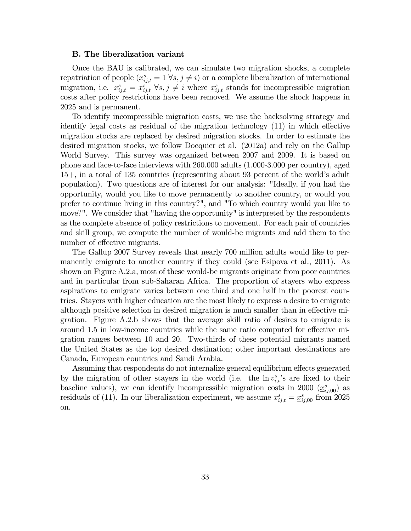#### B. The liberalization variant

Once the BAU is calibrated, we can simulate two migration shocks, a complete repatriation of people  $(x_{ij,t}^s = 1 \forall s, j \neq i)$  or a complete liberalization of international migration, i.e.  $x_{ij,t}^s = \underline{x}_{ij,t}^s \,\,\forall s,j \neq i$  where  $\underline{x}_{ij,t}^s$  stands for incompressible migration costs after policy restrictions have been removed. We assume the shock happens in 2025 and is permanent.

To identify incompressible migration costs, we use the backsolving strategy and identify legal costs as residual of the migration technology  $(11)$  in which effective migration stocks are replaced by desired migration stocks. In order to estimate the desired migration stocks, we follow Docquier et al. (2012a) and rely on the Gallup World Survey. This survey was organized between 2007 and 2009. It is based on phone and face-to-face interviews with 260.000 adults (1.000-3.000 per country), aged 15+, in a total of 135 countries (representing about 93 percent of the worldís adult population). Two questions are of interest for our analysis: "Ideally, if you had the opportunity, would you like to move permanently to another country, or would you prefer to continue living in this country?", and "To which country would you like to move?". We consider that "having the opportunity" is interpreted by the respondents as the complete absence of policy restrictions to movement. For each pair of countries and skill group, we compute the number of would-be migrants and add them to the number of effective migrants.

The Gallup 2007 Survey reveals that nearly 700 million adults would like to permanently emigrate to another country if they could (see Esipova et al., 2011). As shown on Figure A.2.a, most of these would-be migrants originate from poor countries and in particular from sub-Saharan Africa. The proportion of stayers who express aspirations to emigrate varies between one third and one half in the poorest countries. Stayers with higher education are the most likely to express a desire to emigrate although positive selection in desired migration is much smaller than in effective migration. Figure A.2.b shows that the average skill ratio of desires to emigrate is around 1.5 in low-income countries while the same ratio computed for effective migration ranges between 10 and 20. Two-thirds of these potential migrants named the United States as the top desired destination; other important destinations are Canada, European countries and Saudi Arabia.

Assuming that respondents do not internalize general equilibrium effects generated by the migration of other stayers in the world (i.e. the  $\ln v_{i,t}^s$ 's are fixed to their baseline values), we can identify incompressible migration costs in 2000  $(\underline{x}_{ij,00}^s)$  as residuals of (11). In our liberalization experiment, we assume  $x_{ij,t}^s = \underline{x}_{ij,00}^s$  from 2025 on.